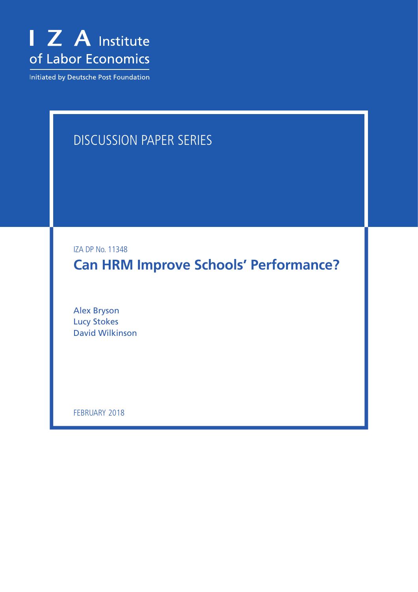

Initiated by Deutsche Post Foundation

# DISCUSSION PAPER SERIES

IZA DP No. 11348

**Can HRM Improve Schools' Performance?**

Alex Bryson Lucy Stokes David Wilkinson

FEBRUARY 2018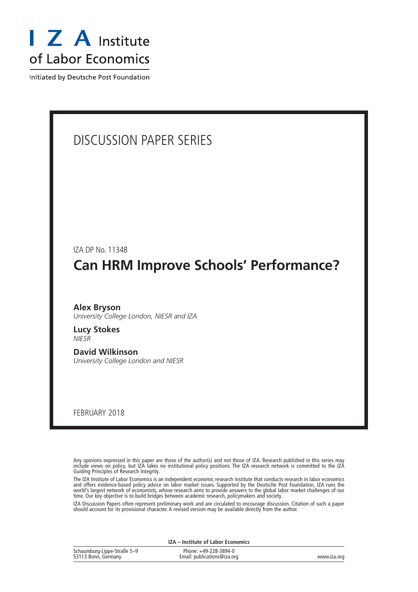

Initiated by Deutsche Post Foundation

# DISCUSSION PAPER SERIES IZA DP No. 11348 **Can HRM Improve Schools' Performance?** FEBRUARY 2018 **Alex Bryson** *University College London, NIESR and IZA* **Lucy Stokes** *NIESR* **David Wilkinson** *University College London and NIESR*

Any opinions expressed in this paper are those of the author(s) and not those of IZA. Research published in this series may include views on policy, but IZA takes no institutional policy positions. The IZA research network is committed to the IZA Guiding Principles of Research Integrity.

The IZA Institute of Labor Economics is an independent economic research institute that conducts research in labor economics and offers evidence-based policy advice on labor market issues. Supported by the Deutsche Post Foundation, IZA runs the world's largest network of economists, whose research aims to provide answers to the global labor market challenges of our time. Our key objective is to build bridges between academic research, policymakers and society.

IZA Discussion Papers often represent preliminary work and are circulated to encourage discussion. Citation of such a paper should account for its provisional character. A revised version may be available directly from the author.

|                                                    | IZA – Institute of Labor Economics                   |             |
|----------------------------------------------------|------------------------------------------------------|-------------|
| Schaumburg-Lippe-Straße 5–9<br>53113 Bonn, Germany | Phone: +49-228-3894-0<br>Email: publications@iza.org | www.iza.org |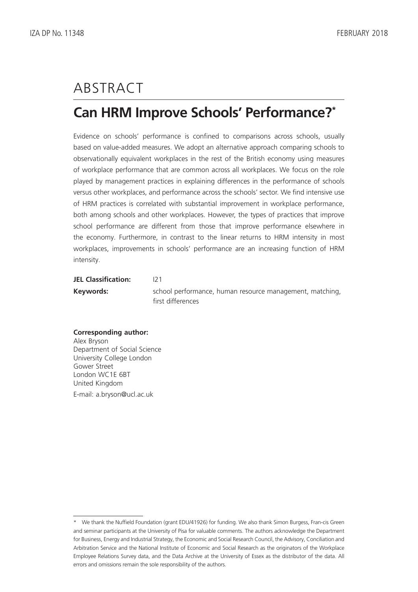# ABSTRACT

## **Can HRM Improve Schools' Performance?\***

Evidence on schools' performance is confined to comparisons across schools, usually based on value-added measures. We adopt an alternative approach comparing schools to observationally equivalent workplaces in the rest of the British economy using measures of workplace performance that are common across all workplaces. We focus on the role played by management practices in explaining differences in the performance of schools versus other workplaces, and performance across the schools' sector. We find intensive use of HRM practices is correlated with substantial improvement in workplace performance, both among schools and other workplaces. However, the types of practices that improve school performance are different from those that improve performance elsewhere in the economy. Furthermore, in contrast to the linear returns to HRM intensity in most workplaces, improvements in schools' performance are an increasing function of HRM intensity.

### **JEL Classification:** I21

**Keywords:** school performance, human resource management, matching, first differences

### **Corresponding author:** Alex Bryson Department of Social Science University College London Gower Street London WC1E 6BT United Kingdom E-mail: a.bryson@ucl.ac.uk

<sup>\*</sup> We thank the Nuffield Foundation (grant EDU/41926) for funding. We also thank Simon Burgess, Fran-cis Green and seminar participants at the University of Pisa for valuable comments. The authors acknowledge the Department for Business, Energy and Industrial Strategy, the Economic and Social Research Council, the Advisory, Conciliation and Arbitration Service and the National Institute of Economic and Social Research as the originators of the Workplace Employee Relations Survey data, and the Data Archive at the University of Essex as the distributor of the data. All errors and omissions remain the sole responsibility of the authors.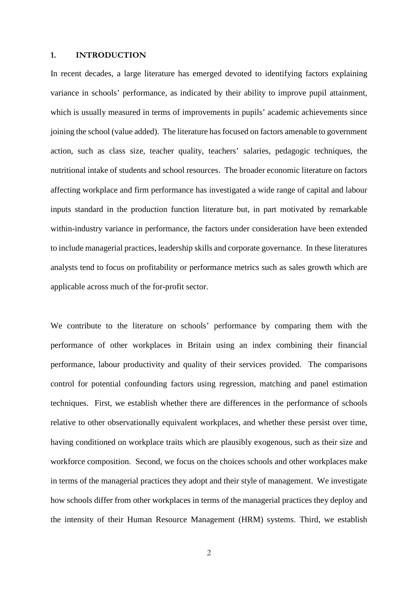#### **1. INTRODUCTION**

In recent decades, a large literature has emerged devoted to identifying factors explaining variance in schools' performance, as indicated by their ability to improve pupil attainment, which is usually measured in terms of improvements in pupils' academic achievements since joining the school (value added). The literature has focused on factors amenable to government action, such as class size, teacher quality, teachers' salaries, pedagogic techniques, the nutritional intake of students and school resources. The broader economic literature on factors affecting workplace and firm performance has investigated a wide range of capital and labour inputs standard in the production function literature but, in part motivated by remarkable within-industry variance in performance, the factors under consideration have been extended to include managerial practices, leadership skills and corporate governance. In these literatures analysts tend to focus on profitability or performance metrics such as sales growth which are applicable across much of the for-profit sector.

We contribute to the literature on schools' performance by comparing them with the performance of other workplaces in Britain using an index combining their financial performance, labour productivity and quality of their services provided. The comparisons control for potential confounding factors using regression, matching and panel estimation techniques. First, we establish whether there are differences in the performance of schools relative to other observationally equivalent workplaces, and whether these persist over time, having conditioned on workplace traits which are plausibly exogenous, such as their size and workforce composition. Second, we focus on the choices schools and other workplaces make in terms of the managerial practices they adopt and their style of management. We investigate how schools differ from other workplaces in terms of the managerial practices they deploy and the intensity of their Human Resource Management (HRM) systems. Third, we establish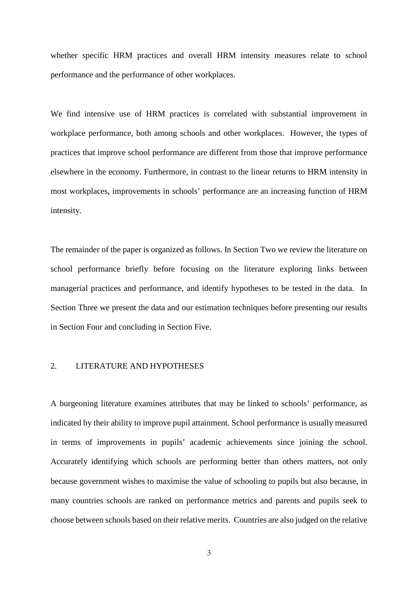whether specific HRM practices and overall HRM intensity measures relate to school performance and the performance of other workplaces.

We find intensive use of HRM practices is correlated with substantial improvement in workplace performance, both among schools and other workplaces. However, the types of practices that improve school performance are different from those that improve performance elsewhere in the economy. Furthermore, in contrast to the linear returns to HRM intensity in most workplaces, improvements in schools' performance are an increasing function of HRM intensity.

The remainder of the paper is organized as follows. In Section Two we review the literature on school performance briefly before focusing on the literature exploring links between managerial practices and performance, and identify hypotheses to be tested in the data. In Section Three we present the data and our estimation techniques before presenting our results in Section Four and concluding in Section Five.

### 2. LITERATURE AND HYPOTHESES

A burgeoning literature examines attributes that may be linked to schools' performance, as indicated by their ability to improve pupil attainment. School performance is usually measured in terms of improvements in pupils' academic achievements since joining the school. Accurately identifying which schools are performing better than others matters, not only because government wishes to maximise the value of schooling to pupils but also because, in many countries schools are ranked on performance metrics and parents and pupils seek to choose between schools based on their relative merits. Countries are also judged on the relative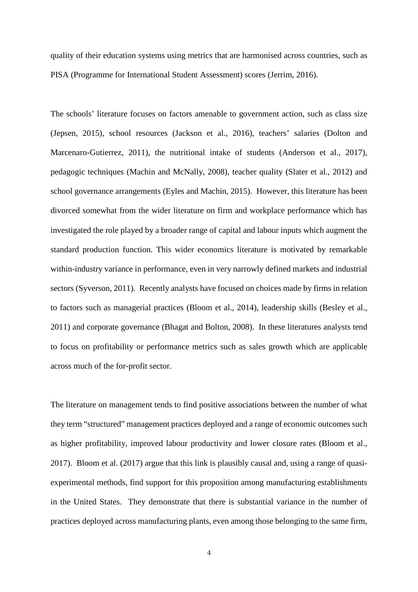quality of their education systems using metrics that are harmonised across countries, such as PISA (Programme for International Student Assessment) scores (Jerrim, 2016).

The schools' literature focuses on factors amenable to government action, such as class size (Jepsen, 2015), school resources (Jackson et al., 2016), teachers' salaries (Dolton and Marcenaro-Gutierrez, 2011), the nutritional intake of students (Anderson et al., 2017), pedagogic techniques (Machin and McNally, 2008), teacher quality (Slater et al., 2012) and school governance arrangements (Eyles and Machin, 2015). However, this literature has been divorced somewhat from the wider literature on firm and workplace performance which has investigated the role played by a broader range of capital and labour inputs which augment the standard production function. This wider economics literature is motivated by remarkable within-industry variance in performance, even in very narrowly defined markets and industrial sectors (Syverson, 2011). Recently analysts have focused on choices made by firms in relation to factors such as managerial practices (Bloom et al., 2014), leadership skills (Besley et al., 2011) and corporate governance (Bhagat and Bolton, 2008). In these literatures analysts tend to focus on profitability or performance metrics such as sales growth which are applicable across much of the for-profit sector.

The literature on management tends to find positive associations between the number of what they term "structured" management practices deployed and a range of economic outcomes such as higher profitability, improved labour productivity and lower closure rates (Bloom et al., 2017). Bloom et al. (2017) argue that this link is plausibly causal and, using a range of quasiexperimental methods, find support for this proposition among manufacturing establishments in the United States. They demonstrate that there is substantial variance in the number of practices deployed across manufacturing plants, even among those belonging to the same firm,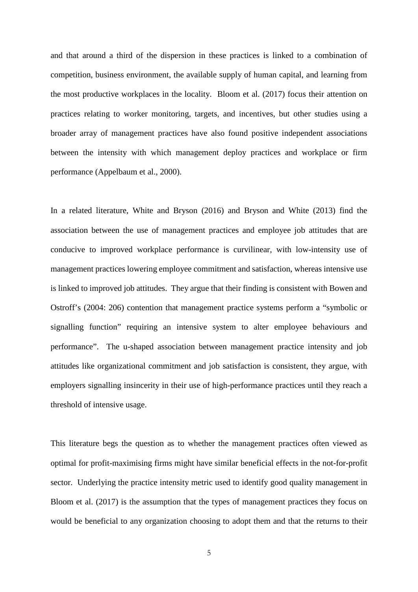and that around a third of the dispersion in these practices is linked to a combination of competition, business environment, the available supply of human capital, and learning from the most productive workplaces in the locality. Bloom et al. (2017) focus their attention on practices relating to worker monitoring, targets, and incentives, but other studies using a broader array of management practices have also found positive independent associations between the intensity with which management deploy practices and workplace or firm performance (Appelbaum et al., 2000).

In a related literature, White and Bryson (2016) and Bryson and White (2013) find the association between the use of management practices and employee job attitudes that are conducive to improved workplace performance is curvilinear, with low-intensity use of management practices lowering employee commitment and satisfaction, whereas intensive use is linked to improved job attitudes. They argue that their finding is consistent with Bowen and Ostroff's (2004: 206) contention that management practice systems perform a "symbolic or signalling function" requiring an intensive system to alter employee behaviours and performance". The u-shaped association between management practice intensity and job attitudes like organizational commitment and job satisfaction is consistent, they argue, with employers signalling insincerity in their use of high-performance practices until they reach a threshold of intensive usage.

This literature begs the question as to whether the management practices often viewed as optimal for profit-maximising firms might have similar beneficial effects in the not-for-profit sector. Underlying the practice intensity metric used to identify good quality management in Bloom et al. (2017) is the assumption that the types of management practices they focus on would be beneficial to any organization choosing to adopt them and that the returns to their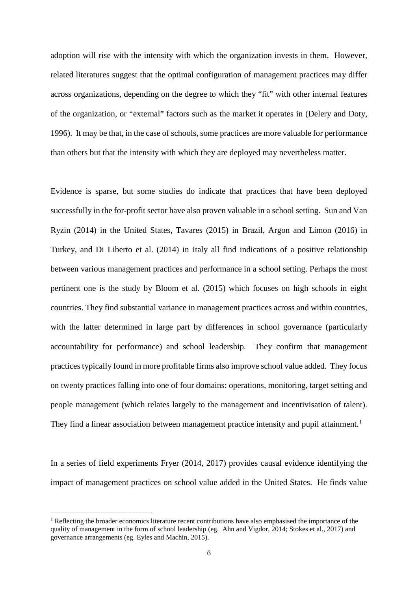adoption will rise with the intensity with which the organization invests in them. However, related literatures suggest that the optimal configuration of management practices may differ across organizations, depending on the degree to which they "fit" with other internal features of the organization, or "external" factors such as the market it operates in (Delery and Doty, 1996). It may be that, in the case of schools, some practices are more valuable for performance than others but that the intensity with which they are deployed may nevertheless matter.

Evidence is sparse, but some studies do indicate that practices that have been deployed successfully in the for-profit sector have also proven valuable in a school setting. Sun and Van Ryzin (2014) in the United States, Tavares (2015) in Brazil, Argon and Limon (2016) in Turkey, and Di Liberto et al. (2014) in Italy all find indications of a positive relationship between various management practices and performance in a school setting. Perhaps the most pertinent one is the study by Bloom et al. (2015) which focuses on high schools in eight countries. They find substantial variance in management practices across and within countries, with the latter determined in large part by differences in school governance (particularly accountability for performance) and school leadership. They confirm that management practices typically found in more profitable firms also improve school value added. They focus on twenty practices falling into one of four domains: operations, monitoring, target setting and people management (which relates largely to the management and incentivisation of talent). They find a linear association between management practice intensity and pupil attainment.<sup>[1](#page-7-0)</sup>

In a series of field experiments Fryer (2014, 2017) provides causal evidence identifying the impact of management practices on school value added in the United States. He finds value

-

<span id="page-7-0"></span> $1$  Reflecting the broader economics literature recent contributions have also emphasised the importance of the quality of management in the form of school leadership (eg. Ahn and Vigdor, 2014; Stokes et al., 2017) and governance arrangements (eg. Eyles and Machin, 2015).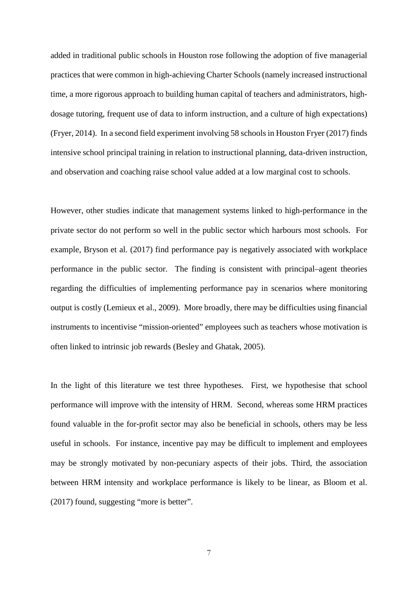added in traditional public schools in Houston rose following the adoption of five managerial practices that were common in high-achieving Charter Schools (namely increased instructional time, a more rigorous approach to building human capital of teachers and administrators, highdosage tutoring, frequent use of data to inform instruction, and a culture of high expectations) (Fryer, 2014). In a second field experiment involving 58 schools in Houston Fryer (2017) finds intensive school principal training in relation to instructional planning, data-driven instruction, and observation and coaching raise school value added at a low marginal cost to schools.

However, other studies indicate that management systems linked to high-performance in the private sector do not perform so well in the public sector which harbours most schools. For example, Bryson et al. (2017) find performance pay is negatively associated with workplace performance in the public sector. The finding is consistent with principal–agent theories regarding the difficulties of implementing performance pay in scenarios where monitoring output is costly (Lemieux et al., 2009). More broadly, there may be difficulties using financial instruments to incentivise "mission-oriented" employees such as teachers whose motivation is often linked to intrinsic job rewards (Besley and Ghatak, 2005).

In the light of this literature we test three hypotheses. First, we hypothesise that school performance will improve with the intensity of HRM. Second, whereas some HRM practices found valuable in the for-profit sector may also be beneficial in schools, others may be less useful in schools. For instance, incentive pay may be difficult to implement and employees may be strongly motivated by non-pecuniary aspects of their jobs. Third, the association between HRM intensity and workplace performance is likely to be linear, as Bloom et al. (2017) found, suggesting "more is better".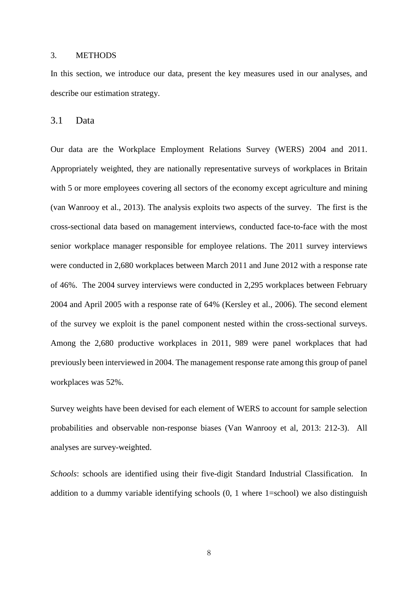#### 3. METHODS

In this section, we introduce our data, present the key measures used in our analyses, and describe our estimation strategy.

3.1 Data

Our data are the Workplace Employment Relations Survey (WERS) 2004 and 2011. Appropriately weighted, they are nationally representative surveys of workplaces in Britain with 5 or more employees covering all sectors of the economy except agriculture and mining (van Wanrooy et al., 2013). The analysis exploits two aspects of the survey. The first is the cross-sectional data based on management interviews, conducted face-to-face with the most senior workplace manager responsible for employee relations. The 2011 survey interviews were conducted in 2,680 workplaces between March 2011 and June 2012 with a response rate of 46%. The 2004 survey interviews were conducted in 2,295 workplaces between February 2004 and April 2005 with a response rate of 64% (Kersley et al., 2006). The second element of the survey we exploit is the panel component nested within the cross-sectional surveys. Among the 2,680 productive workplaces in 2011, 989 were panel workplaces that had previously been interviewed in 2004. The management response rate among this group of panel workplaces was 52%.

Survey weights have been devised for each element of WERS to account for sample selection probabilities and observable non-response biases (Van Wanrooy et al, 2013: 212-3). All analyses are survey-weighted.

*Schools*: schools are identified using their five-digit Standard Industrial Classification. In addition to a dummy variable identifying schools (0, 1 where 1=school) we also distinguish

8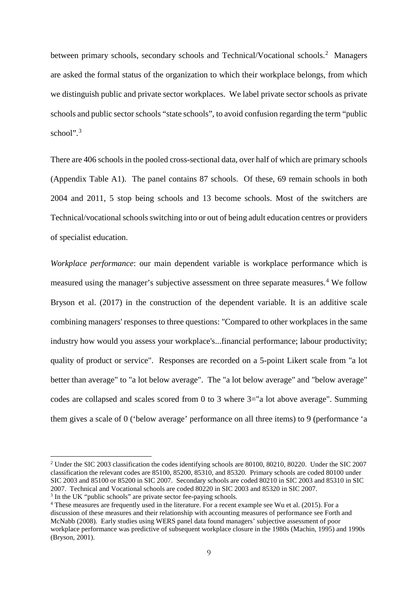between primary schools, secondary schools and Technical/Vocational schools.<sup>[2](#page-10-0)</sup> Managers are asked the formal status of the organization to which their workplace belongs, from which we distinguish public and private sector workplaces. We label private sector schools as private schools and public sector schools "state schools", to avoid confusion regarding the term "public school".<sup>[3](#page-10-1)</sup>

There are 406 schools in the pooled cross-sectional data, over half of which are primary schools (Appendix Table A1). The panel contains 87 schools. Of these, 69 remain schools in both 2004 and 2011, 5 stop being schools and 13 become schools. Most of the switchers are Technical/vocational schools switching into or out of being adult education centres or providers of specialist education.

*Workplace performance*: our main dependent variable is workplace performance which is measured using the manager's subjective assessment on three separate measures.<sup>[4](#page-10-2)</sup> We follow Bryson et al. (2017) in the construction of the dependent variable. It is an additive scale combining managers' responses to three questions: "Compared to other workplaces in the same industry how would you assess your workplace's...financial performance; labour productivity; quality of product or service". Responses are recorded on a 5-point Likert scale from "a lot better than average" to "a lot below average". The "a lot below average" and "below average" codes are collapsed and scales scored from 0 to 3 where 3="a lot above average". Summing them gives a scale of 0 ('below average' performance on all three items) to 9 (performance 'a

-

<span id="page-10-0"></span><sup>2</sup> Under the SIC 2003 classification the codes identifying schools are 80100, 80210, 80220. Under the SIC 2007 classification the relevant codes are 85100, 85200, 85310, and 85320. Primary schools are coded 80100 under SIC 2003 and 85100 or 85200 in SIC 2007. Secondary schools are coded 80210 in SIC 2003 and 85310 in SIC 2007. Technical and Vocational schools are coded 80220 in SIC 2003 and 85320 in SIC 2007.

<span id="page-10-1"></span><sup>&</sup>lt;sup>3</sup> In the UK "public schools" are private sector fee-paying schools.

<span id="page-10-2"></span><sup>4</sup> These measures are frequently used in the literature. For a recent example see Wu et al. (2015). For a discussion of these measures and their relationship with accounting measures of performance see Forth and McNabb (2008). Early studies using WERS panel data found managers' subjective assessment of poor workplace performance was predictive of subsequent workplace closure in the 1980s (Machin, 1995) and 1990s (Bryson, 2001).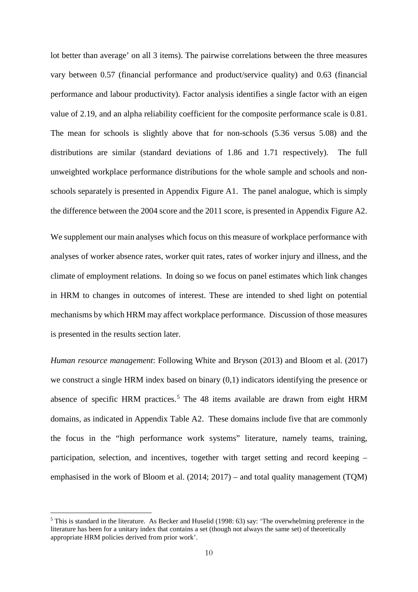lot better than average' on all 3 items). The pairwise correlations between the three measures vary between 0.57 (financial performance and product/service quality) and 0.63 (financial performance and labour productivity). Factor analysis identifies a single factor with an eigen value of 2.19, and an alpha reliability coefficient for the composite performance scale is 0.81. The mean for schools is slightly above that for non-schools (5.36 versus 5.08) and the distributions are similar (standard deviations of 1.86 and 1.71 respectively). The full unweighted workplace performance distributions for the whole sample and schools and nonschools separately is presented in Appendix Figure A1. The panel analogue, which is simply the difference between the 2004 score and the 2011 score, is presented in Appendix Figure A2.

We supplement our main analyses which focus on this measure of workplace performance with analyses of worker absence rates, worker quit rates, rates of worker injury and illness, and the climate of employment relations. In doing so we focus on panel estimates which link changes in HRM to changes in outcomes of interest. These are intended to shed light on potential mechanisms by which HRM may affect workplace performance. Discussion of those measures is presented in the results section later.

*Human resource management*: Following White and Bryson (2013) and Bloom et al. (2017) we construct a single HRM index based on binary (0,1) indicators identifying the presence or absence of specific HRM practices.<sup>[5](#page-11-0)</sup> The 48 items available are drawn from eight HRM domains, as indicated in Appendix Table A2. These domains include five that are commonly the focus in the "high performance work systems" literature, namely teams, training, participation, selection, and incentives, together with target setting and record keeping – emphasised in the work of Bloom et al. (2014; 2017) – and total quality management (TQM)

-

<span id="page-11-0"></span> $<sup>5</sup>$  This is standard in the literature. As Becker and Huselid (1998: 63) say: 'The overwhelming preference in the</sup> literature has been for a unitary index that contains a set (though not always the same set) of theoretically appropriate HRM policies derived from prior work'.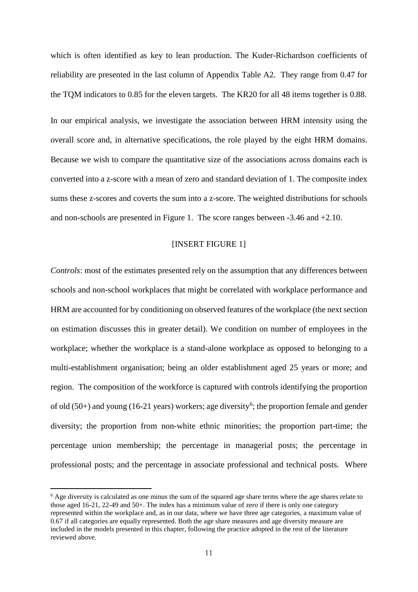which is often identified as key to lean production. The Kuder-Richardson coefficients of reliability are presented in the last column of Appendix Table A2. They range from 0.47 for the TQM indicators to 0.85 for the eleven targets. The KR20 for all 48 items together is 0.88.

In our empirical analysis, we investigate the association between HRM intensity using the overall score and, in alternative specifications, the role played by the eight HRM domains. Because we wish to compare the quantitative size of the associations across domains each is converted into a z-score with a mean of zero and standard deviation of 1. The composite index sums these z-scores and coverts the sum into a z-score. The weighted distributions for schools and non-schools are presented in Figure 1. The score ranges between -3.46 and +2.10.

### [INSERT FIGURE 1]

*Controls*: most of the estimates presented rely on the assumption that any differences between schools and non-school workplaces that might be correlated with workplace performance and HRM are accounted for by conditioning on observed features of the workplace (the next section on estimation discusses this in greater detail). We condition on number of employees in the workplace; whether the workplace is a stand-alone workplace as opposed to belonging to a multi-establishment organisation; being an older establishment aged 25 years or more; and region. The composition of the workforce is captured with controls identifying the proportion of old  $(50+)$  and young  $(16-21)$  $(16-21)$  $(16-21)$  years) workers; age diversity<sup>6</sup>; the proportion female and gender diversity; the proportion from non-white ethnic minorities; the proportion part-time; the percentage union membership; the percentage in managerial posts; the percentage in professional posts; and the percentage in associate professional and technical posts. Where

<u>.</u>

<span id="page-12-0"></span> $6$  Age diversity is calculated as one minus the sum of the squared age share terms where the age shares relate to those aged 16-21, 22-49 and 50+. The index has a minimum value of zero if there is only one category represented within the workplace and, as in our data, where we have three age categories, a maximum value of 0.67 if all categories are equally represented. Both the age share measures and age diversity measure are included in the models presented in this chapter, following the practice adopted in the rest of the literature reviewed above.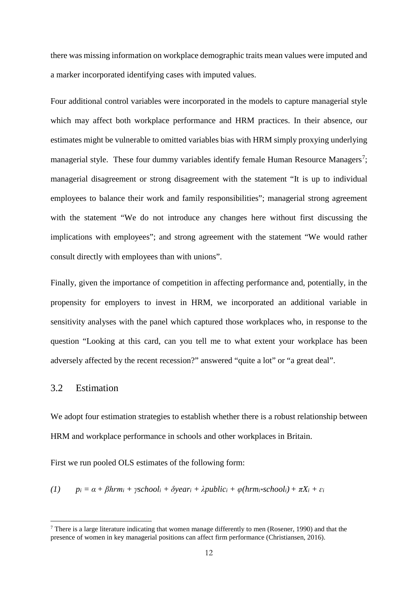there was missing information on workplace demographic traits mean values were imputed and a marker incorporated identifying cases with imputed values.

Four additional control variables were incorporated in the models to capture managerial style which may affect both workplace performance and HRM practices. In their absence, our estimates might be vulnerable to omitted variables bias with HRM simply proxying underlying managerial style. These four dummy variables identify female Human Resource Managers<sup>[7](#page-13-0)</sup>; managerial disagreement or strong disagreement with the statement "It is up to individual employees to balance their work and family responsibilities"; managerial strong agreement with the statement "We do not introduce any changes here without first discussing the implications with employees"; and strong agreement with the statement "We would rather consult directly with employees than with unions".

Finally, given the importance of competition in affecting performance and, potentially, in the propensity for employers to invest in HRM, we incorporated an additional variable in sensitivity analyses with the panel which captured those workplaces who, in response to the question "Looking at this card, can you tell me to what extent your workplace has been adversely affected by the recent recession?" answered "quite a lot" or "a great deal".

### 3.2 Estimation

<u>.</u>

We adopt four estimation strategies to establish whether there is a robust relationship between HRM and workplace performance in schools and other workplaces in Britain.

First we run pooled OLS estimates of the following form:

(1)  $p_i = \alpha + \beta h r m_i + \gamma \sin \alpha l_i + \delta \nu e a r_i + \lambda p u b l i c_i + \varphi (h r m_i * \varsigma c h \omega l_i) + \pi X_i + \varepsilon_i$ 

<span id="page-13-0"></span> $<sup>7</sup>$  There is a large literature indicating that women manage differently to men (Rosener, 1990) and that the</sup> presence of women in key managerial positions can affect firm performance (Christiansen, 2016).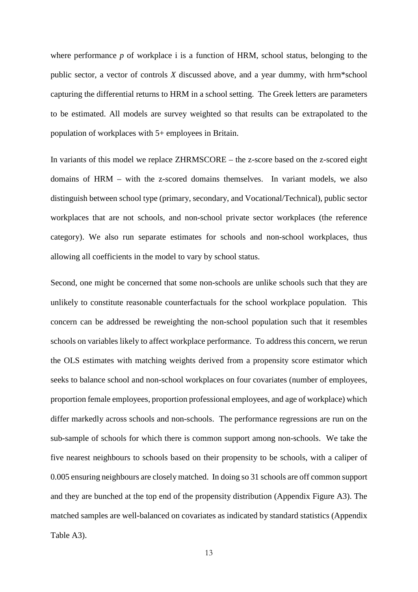where performance *p* of workplace i is a function of HRM, school status, belonging to the public sector, a vector of controls *X* discussed above, and a year dummy, with hrm\*school capturing the differential returns to HRM in a school setting. The Greek letters are parameters to be estimated. All models are survey weighted so that results can be extrapolated to the population of workplaces with 5+ employees in Britain.

In variants of this model we replace ZHRMSCORE – the z-score based on the z-scored eight domains of HRM – with the z-scored domains themselves. In variant models, we also distinguish between school type (primary, secondary, and Vocational/Technical), public sector workplaces that are not schools, and non-school private sector workplaces (the reference category). We also run separate estimates for schools and non-school workplaces, thus allowing all coefficients in the model to vary by school status.

Second, one might be concerned that some non-schools are unlike schools such that they are unlikely to constitute reasonable counterfactuals for the school workplace population. This concern can be addressed be reweighting the non-school population such that it resembles schools on variables likely to affect workplace performance. To address this concern, we rerun the OLS estimates with matching weights derived from a propensity score estimator which seeks to balance school and non-school workplaces on four covariates (number of employees, proportion female employees, proportion professional employees, and age of workplace) which differ markedly across schools and non-schools. The performance regressions are run on the sub-sample of schools for which there is common support among non-schools. We take the five nearest neighbours to schools based on their propensity to be schools, with a caliper of 0.005 ensuring neighbours are closely matched. In doing so 31 schools are off common support and they are bunched at the top end of the propensity distribution (Appendix Figure A3). The matched samples are well-balanced on covariates as indicated by standard statistics (Appendix Table A3).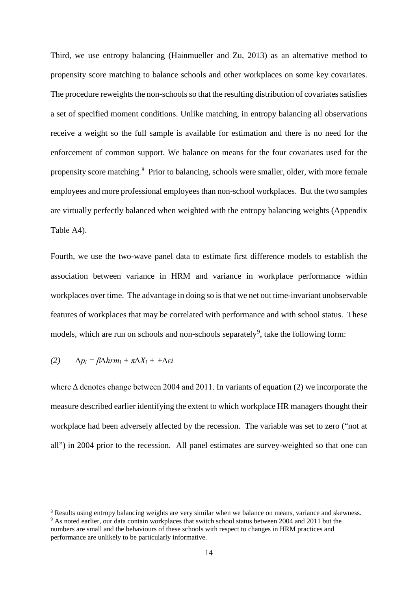Third, we use entropy balancing (Hainmueller and Zu, 2013) as an alternative method to propensity score matching to balance schools and other workplaces on some key covariates. The procedure reweights the non-schools so that the resulting distribution of covariates satisfies a set of specified moment conditions. Unlike matching, in entropy balancing all observations receive a weight so the full sample is available for estimation and there is no need for the enforcement of common support. We balance on means for the four covariates used for the propensity score matching.<sup>[8](#page-15-0)</sup> Prior to balancing, schools were smaller, older, with more female employees and more professional employees than non-school workplaces. But the two samples are virtually perfectly balanced when weighted with the entropy balancing weights (Appendix Table A4).

Fourth, we use the two-wave panel data to estimate first difference models to establish the association between variance in HRM and variance in workplace performance within workplaces over time. The advantage in doing so is that we net out time-invariant unobservable features of workplaces that may be correlated with performance and with school status. These models, which are run on schools and non-schools separately<sup>[9](#page-15-1)</sup>, take the following form:

$$
(2) \qquad \Delta p_i = \beta \Delta h r m_i + \pi \Delta X_i + + \Delta \varepsilon i
$$

-

where ∆ denotes change between 2004 and 2011. In variants of equation (2) we incorporate the measure described earlier identifying the extent to which workplace HR managers thought their workplace had been adversely affected by the recession. The variable was set to zero ("not at all") in 2004 prior to the recession. All panel estimates are survey-weighted so that one can

<span id="page-15-1"></span><span id="page-15-0"></span><sup>8</sup> Results using entropy balancing weights are very similar when we balance on means, variance and skewness. <sup>9</sup> As noted earlier, our data contain workplaces that switch school status between 2004 and 2011 but the numbers are small and the behaviours of these schools with respect to changes in HRM practices and performance are unlikely to be particularly informative.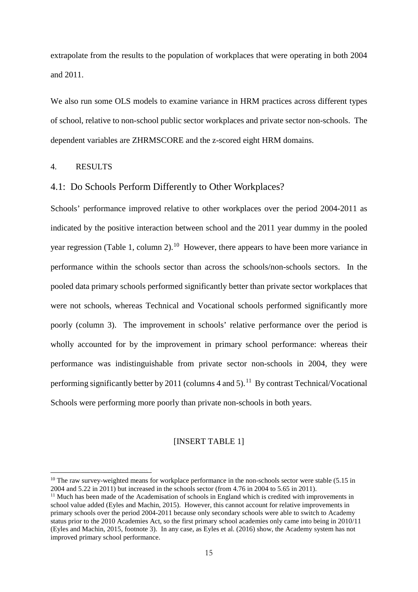extrapolate from the results to the population of workplaces that were operating in both 2004 and 2011.

We also run some OLS models to examine variance in HRM practices across different types of school, relative to non-school public sector workplaces and private sector non-schools. The dependent variables are ZHRMSCORE and the z-scored eight HRM domains.

### 4. RESULTS

<u>.</u>

### 4.1: Do Schools Perform Differently to Other Workplaces?

Schools' performance improved relative to other workplaces over the period 2004-2011 as indicated by the positive interaction between school and the 2011 year dummy in the pooled year regression (Table 1, column 2).<sup>[10](#page-16-0)</sup> However, there appears to have been more variance in performance within the schools sector than across the schools/non-schools sectors. In the pooled data primary schools performed significantly better than private sector workplaces that were not schools, whereas Technical and Vocational schools performed significantly more poorly (column 3). The improvement in schools' relative performance over the period is wholly accounted for by the improvement in primary school performance: whereas their performance was indistinguishable from private sector non-schools in 2004, they were performing significantly better by 20[11](#page-16-1) (columns 4 and 5).<sup>11</sup> By contrast Technical/Vocational Schools were performing more poorly than private non-schools in both years.

### [INSERT TABLE 1]

<span id="page-16-0"></span> $10$  The raw survey-weighted means for workplace performance in the non-schools sector were stable (5.15 in 2004 and 5.22 in 2011) but increased in the schools sector (from 4.76 in 2004 to 5.65 in 2011).

<span id="page-16-1"></span><sup>&</sup>lt;sup>11</sup> Much has been made of the Academisation of schools in England which is credited with improvements in school value added (Eyles and Machin, 2015). However, this cannot account for relative improvements in primary schools over the period 2004-2011 because only secondary schools were able to switch to Academy status prior to the 2010 Academies Act, so the first primary school academies only came into being in 2010/11 (Eyles and Machin, 2015, footnote 3). In any case, as Eyles et al. (2016) show, the Academy system has not improved primary school performance.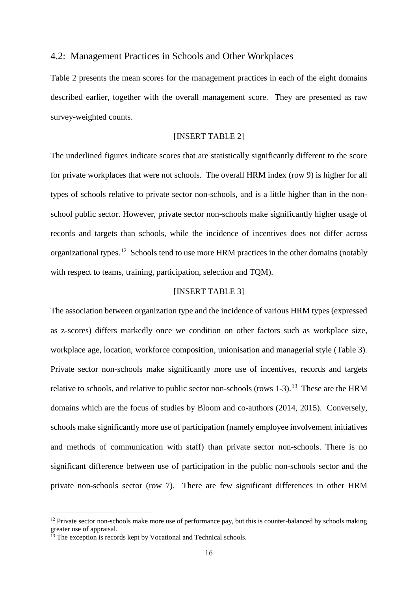### 4.2: Management Practices in Schools and Other Workplaces

Table 2 presents the mean scores for the management practices in each of the eight domains described earlier, together with the overall management score. They are presented as raw survey-weighted counts.

### [INSERT TABLE 2]

The underlined figures indicate scores that are statistically significantly different to the score for private workplaces that were not schools. The overall HRM index (row 9) is higher for all types of schools relative to private sector non-schools, and is a little higher than in the nonschool public sector. However, private sector non-schools make significantly higher usage of records and targets than schools, while the incidence of incentives does not differ across organizational types.[12](#page-17-0) Schools tend to use more HRM practices in the other domains (notably with respect to teams, training, participation, selection and TQM).

### [INSERT TABLE 3]

The association between organization type and the incidence of various HRM types (expressed as z-scores) differs markedly once we condition on other factors such as workplace size, workplace age, location, workforce composition, unionisation and managerial style (Table 3). Private sector non-schools make significantly more use of incentives, records and targets relative to schools, and relative to public sector non-schools (rows  $1-3$ ).<sup>13</sup> These are the HRM domains which are the focus of studies by Bloom and co-authors (2014, 2015). Conversely, schools make significantly more use of participation (namely employee involvement initiatives and methods of communication with staff) than private sector non-schools. There is no significant difference between use of participation in the public non-schools sector and the private non-schools sector (row 7). There are few significant differences in other HRM

-

<span id="page-17-0"></span> $12$  Private sector non-schools make more use of performance pay, but this is counter-balanced by schools making greater use of appraisal.

<span id="page-17-1"></span> $\frac{13}{13}$  The exception is records kept by Vocational and Technical schools.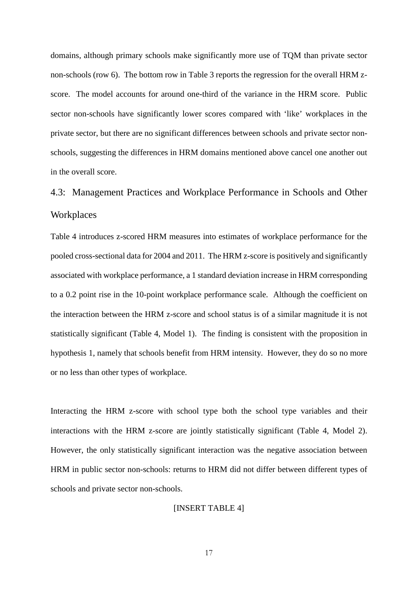domains, although primary schools make significantly more use of TQM than private sector non-schools (row 6). The bottom row in Table 3 reports the regression for the overall HRM zscore. The model accounts for around one-third of the variance in the HRM score. Public sector non-schools have significantly lower scores compared with 'like' workplaces in the private sector, but there are no significant differences between schools and private sector nonschools, suggesting the differences in HRM domains mentioned above cancel one another out in the overall score.

### 4.3: Management Practices and Workplace Performance in Schools and Other **Workplaces**

Table 4 introduces z-scored HRM measures into estimates of workplace performance for the pooled cross-sectional data for 2004 and 2011. The HRM z-score is positively and significantly associated with workplace performance, a 1 standard deviation increase in HRM corresponding to a 0.2 point rise in the 10-point workplace performance scale. Although the coefficient on the interaction between the HRM z-score and school status is of a similar magnitude it is not statistically significant (Table 4, Model 1). The finding is consistent with the proposition in hypothesis 1, namely that schools benefit from HRM intensity. However, they do so no more or no less than other types of workplace.

Interacting the HRM z-score with school type both the school type variables and their interactions with the HRM z-score are jointly statistically significant (Table 4, Model 2). However, the only statistically significant interaction was the negative association between HRM in public sector non-schools: returns to HRM did not differ between different types of schools and private sector non-schools.

### [INSERT TABLE 4]

17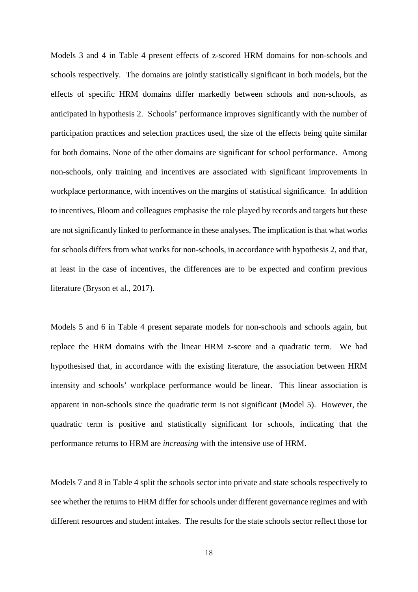Models 3 and 4 in Table 4 present effects of z-scored HRM domains for non-schools and schools respectively. The domains are jointly statistically significant in both models, but the effects of specific HRM domains differ markedly between schools and non-schools, as anticipated in hypothesis 2. Schools' performance improves significantly with the number of participation practices and selection practices used, the size of the effects being quite similar for both domains. None of the other domains are significant for school performance. Among non-schools, only training and incentives are associated with significant improvements in workplace performance, with incentives on the margins of statistical significance. In addition to incentives, Bloom and colleagues emphasise the role played by records and targets but these are not significantly linked to performance in these analyses. The implication is that what works for schools differs from what works for non-schools, in accordance with hypothesis 2, and that, at least in the case of incentives, the differences are to be expected and confirm previous literature (Bryson et al., 2017).

Models 5 and 6 in Table 4 present separate models for non-schools and schools again, but replace the HRM domains with the linear HRM z-score and a quadratic term. We had hypothesised that, in accordance with the existing literature, the association between HRM intensity and schools' workplace performance would be linear. This linear association is apparent in non-schools since the quadratic term is not significant (Model 5). However, the quadratic term is positive and statistically significant for schools, indicating that the performance returns to HRM are *increasing* with the intensive use of HRM.

Models 7 and 8 in Table 4 split the schools sector into private and state schools respectively to see whether the returns to HRM differ for schools under different governance regimes and with different resources and student intakes. The results for the state schools sector reflect those for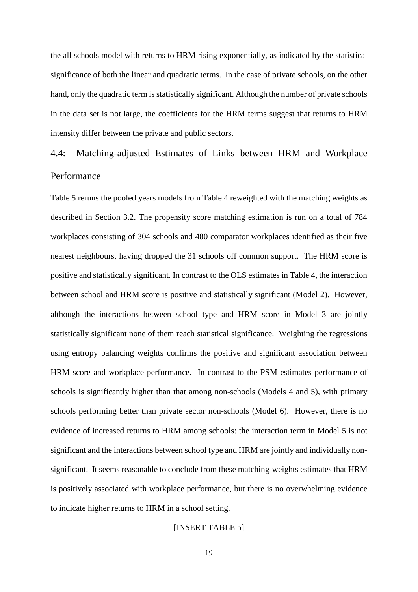the all schools model with returns to HRM rising exponentially, as indicated by the statistical significance of both the linear and quadratic terms. In the case of private schools, on the other hand, only the quadratic term is statistically significant. Although the number of private schools in the data set is not large, the coefficients for the HRM terms suggest that returns to HRM intensity differ between the private and public sectors.

### 4.4: Matching-adjusted Estimates of Links between HRM and Workplace Performance

Table 5 reruns the pooled years models from Table 4 reweighted with the matching weights as described in Section 3.2. The propensity score matching estimation is run on a total of 784 workplaces consisting of 304 schools and 480 comparator workplaces identified as their five nearest neighbours, having dropped the 31 schools off common support. The HRM score is positive and statistically significant. In contrast to the OLS estimates in Table 4, the interaction between school and HRM score is positive and statistically significant (Model 2). However, although the interactions between school type and HRM score in Model 3 are jointly statistically significant none of them reach statistical significance. Weighting the regressions using entropy balancing weights confirms the positive and significant association between HRM score and workplace performance. In contrast to the PSM estimates performance of schools is significantly higher than that among non-schools (Models 4 and 5), with primary schools performing better than private sector non-schools (Model 6). However, there is no evidence of increased returns to HRM among schools: the interaction term in Model 5 is not significant and the interactions between school type and HRM are jointly and individually nonsignificant. It seems reasonable to conclude from these matching-weights estimates that HRM is positively associated with workplace performance, but there is no overwhelming evidence to indicate higher returns to HRM in a school setting.

### [INSERT TABLE 5]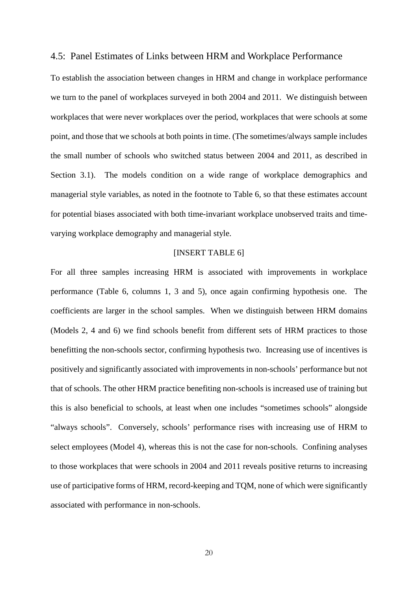### 4.5: Panel Estimates of Links between HRM and Workplace Performance

To establish the association between changes in HRM and change in workplace performance we turn to the panel of workplaces surveyed in both 2004 and 2011. We distinguish between workplaces that were never workplaces over the period, workplaces that were schools at some point, and those that we schools at both points in time. (The sometimes/always sample includes the small number of schools who switched status between 2004 and 2011, as described in Section 3.1). The models condition on a wide range of workplace demographics and managerial style variables, as noted in the footnote to Table 6, so that these estimates account for potential biases associated with both time-invariant workplace unobserved traits and timevarying workplace demography and managerial style.

### [INSERT TABLE 6]

For all three samples increasing HRM is associated with improvements in workplace performance (Table 6, columns 1, 3 and 5), once again confirming hypothesis one. The coefficients are larger in the school samples. When we distinguish between HRM domains (Models 2, 4 and 6) we find schools benefit from different sets of HRM practices to those benefitting the non-schools sector, confirming hypothesis two. Increasing use of incentives is positively and significantly associated with improvements in non-schools' performance but not that of schools. The other HRM practice benefiting non-schools is increased use of training but this is also beneficial to schools, at least when one includes "sometimes schools" alongside "always schools". Conversely, schools' performance rises with increasing use of HRM to select employees (Model 4), whereas this is not the case for non-schools. Confining analyses to those workplaces that were schools in 2004 and 2011 reveals positive returns to increasing use of participative forms of HRM, record-keeping and TQM, none of which were significantly associated with performance in non-schools.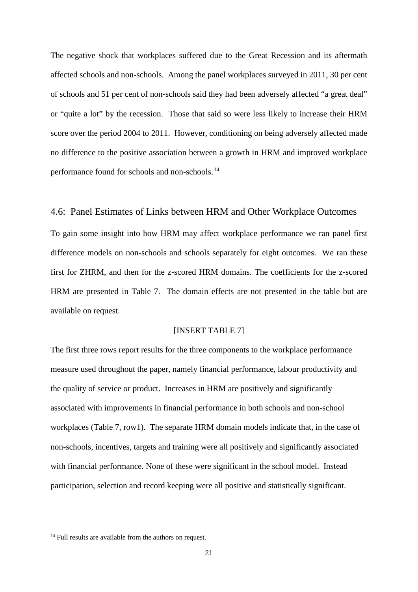The negative shock that workplaces suffered due to the Great Recession and its aftermath affected schools and non-schools. Among the panel workplaces surveyed in 2011, 30 per cent of schools and 51 per cent of non-schools said they had been adversely affected "a great deal" or "quite a lot" by the recession. Those that said so were less likely to increase their HRM score over the period 2004 to 2011. However, conditioning on being adversely affected made no difference to the positive association between a growth in HRM and improved workplace performance found for schools and non-schools.[14](#page-22-0)

### 4.6: Panel Estimates of Links between HRM and Other Workplace Outcomes

To gain some insight into how HRM may affect workplace performance we ran panel first difference models on non-schools and schools separately for eight outcomes. We ran these first for ZHRM, and then for the z-scored HRM domains. The coefficients for the z-scored HRM are presented in Table 7. The domain effects are not presented in the table but are available on request.

### [INSERT TABLE 7]

The first three rows report results for the three components to the workplace performance measure used throughout the paper, namely financial performance, labour productivity and the quality of service or product. Increases in HRM are positively and significantly associated with improvements in financial performance in both schools and non-school workplaces (Table 7, row1). The separate HRM domain models indicate that, in the case of non-schools, incentives, targets and training were all positively and significantly associated with financial performance. None of these were significant in the school model. Instead participation, selection and record keeping were all positive and statistically significant.

-

<span id="page-22-0"></span><sup>&</sup>lt;sup>14</sup> Full results are available from the authors on request.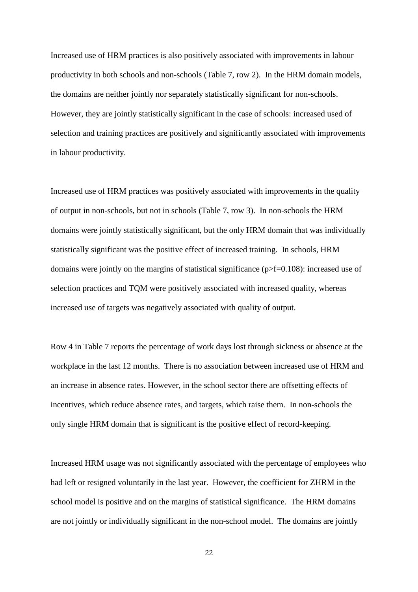Increased use of HRM practices is also positively associated with improvements in labour productivity in both schools and non-schools (Table 7, row 2). In the HRM domain models, the domains are neither jointly nor separately statistically significant for non-schools. However, they are jointly statistically significant in the case of schools: increased used of selection and training practices are positively and significantly associated with improvements in labour productivity.

Increased use of HRM practices was positively associated with improvements in the quality of output in non-schools, but not in schools (Table 7, row 3). In non-schools the HRM domains were jointly statistically significant, but the only HRM domain that was individually statistically significant was the positive effect of increased training. In schools, HRM domains were jointly on the margins of statistical significance (p>f=0.108): increased use of selection practices and TQM were positively associated with increased quality, whereas increased use of targets was negatively associated with quality of output.

Row 4 in Table 7 reports the percentage of work days lost through sickness or absence at the workplace in the last 12 months. There is no association between increased use of HRM and an increase in absence rates. However, in the school sector there are offsetting effects of incentives, which reduce absence rates, and targets, which raise them. In non-schools the only single HRM domain that is significant is the positive effect of record-keeping.

Increased HRM usage was not significantly associated with the percentage of employees who had left or resigned voluntarily in the last year. However, the coefficient for ZHRM in the school model is positive and on the margins of statistical significance. The HRM domains are not jointly or individually significant in the non-school model. The domains are jointly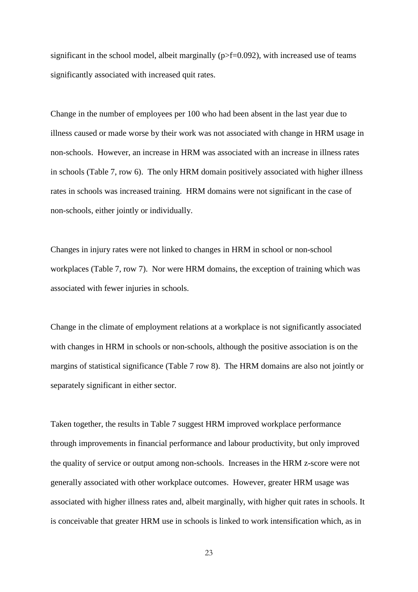significant in the school model, albeit marginally ( $p > f = 0.092$ ), with increased use of teams significantly associated with increased quit rates.

Change in the number of employees per 100 who had been absent in the last year due to illness caused or made worse by their work was not associated with change in HRM usage in non-schools. However, an increase in HRM was associated with an increase in illness rates in schools (Table 7, row 6). The only HRM domain positively associated with higher illness rates in schools was increased training. HRM domains were not significant in the case of non-schools, either jointly or individually.

Changes in injury rates were not linked to changes in HRM in school or non-school workplaces (Table 7, row 7). Nor were HRM domains, the exception of training which was associated with fewer injuries in schools.

Change in the climate of employment relations at a workplace is not significantly associated with changes in HRM in schools or non-schools, although the positive association is on the margins of statistical significance (Table 7 row 8). The HRM domains are also not jointly or separately significant in either sector.

Taken together, the results in Table 7 suggest HRM improved workplace performance through improvements in financial performance and labour productivity, but only improved the quality of service or output among non-schools. Increases in the HRM z-score were not generally associated with other workplace outcomes. However, greater HRM usage was associated with higher illness rates and, albeit marginally, with higher quit rates in schools. It is conceivable that greater HRM use in schools is linked to work intensification which, as in

23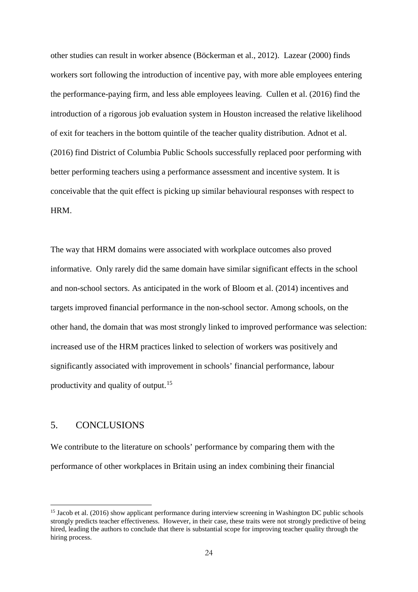other studies can result in worker absence (Böckerman et al., 2012). Lazear (2000) finds workers sort following the introduction of incentive pay, with more able employees entering the performance-paying firm, and less able employees leaving. Cullen et al. (2016) find the introduction of a rigorous job evaluation system in Houston increased the relative likelihood of exit for teachers in the bottom quintile of the teacher quality distribution. Adnot et al. (2016) find District of Columbia Public Schools successfully replaced poor performing with better performing teachers using a performance assessment and incentive system. It is conceivable that the quit effect is picking up similar behavioural responses with respect to HRM.

The way that HRM domains were associated with workplace outcomes also proved informative. Only rarely did the same domain have similar significant effects in the school and non-school sectors. As anticipated in the work of Bloom et al. (2014) incentives and targets improved financial performance in the non-school sector. Among schools, on the other hand, the domain that was most strongly linked to improved performance was selection: increased use of the HRM practices linked to selection of workers was positively and significantly associated with improvement in schools' financial performance, labour productivity and quality of output.<sup>15</sup>

### 5. CONCLUSIONS

-

We contribute to the literature on schools' performance by comparing them with the performance of other workplaces in Britain using an index combining their financial

<span id="page-25-0"></span><sup>&</sup>lt;sup>15</sup> Jacob et al. (2016) show applicant performance during interview screening in Washington DC public schools strongly predicts teacher effectiveness. However, in their case, these traits were not strongly predictive of being hired, leading the authors to conclude that there is substantial scope for improving teacher quality through the hiring process.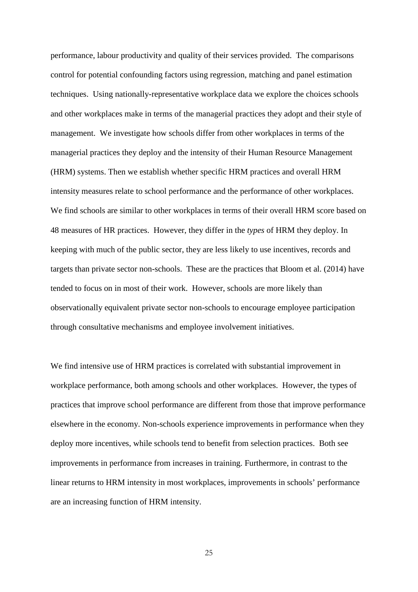performance, labour productivity and quality of their services provided. The comparisons control for potential confounding factors using regression, matching and panel estimation techniques. Using nationally-representative workplace data we explore the choices schools and other workplaces make in terms of the managerial practices they adopt and their style of management. We investigate how schools differ from other workplaces in terms of the managerial practices they deploy and the intensity of their Human Resource Management (HRM) systems. Then we establish whether specific HRM practices and overall HRM intensity measures relate to school performance and the performance of other workplaces. We find schools are similar to other workplaces in terms of their overall HRM score based on 48 measures of HR practices. However, they differ in the *types* of HRM they deploy. In keeping with much of the public sector, they are less likely to use incentives, records and targets than private sector non-schools. These are the practices that Bloom et al. (2014) have tended to focus on in most of their work. However, schools are more likely than observationally equivalent private sector non-schools to encourage employee participation through consultative mechanisms and employee involvement initiatives.

We find intensive use of HRM practices is correlated with substantial improvement in workplace performance, both among schools and other workplaces. However, the types of practices that improve school performance are different from those that improve performance elsewhere in the economy. Non-schools experience improvements in performance when they deploy more incentives, while schools tend to benefit from selection practices. Both see improvements in performance from increases in training. Furthermore, in contrast to the linear returns to HRM intensity in most workplaces, improvements in schools' performance are an increasing function of HRM intensity.

25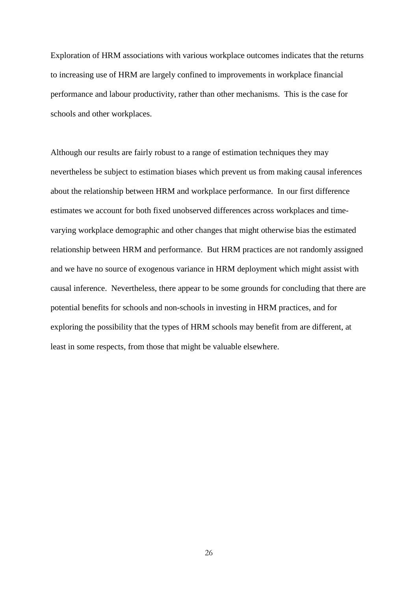Exploration of HRM associations with various workplace outcomes indicates that the returns to increasing use of HRM are largely confined to improvements in workplace financial performance and labour productivity, rather than other mechanisms. This is the case for schools and other workplaces.

Although our results are fairly robust to a range of estimation techniques they may nevertheless be subject to estimation biases which prevent us from making causal inferences about the relationship between HRM and workplace performance. In our first difference estimates we account for both fixed unobserved differences across workplaces and timevarying workplace demographic and other changes that might otherwise bias the estimated relationship between HRM and performance. But HRM practices are not randomly assigned and we have no source of exogenous variance in HRM deployment which might assist with causal inference. Nevertheless, there appear to be some grounds for concluding that there are potential benefits for schools and non-schools in investing in HRM practices, and for exploring the possibility that the types of HRM schools may benefit from are different, at least in some respects, from those that might be valuable elsewhere.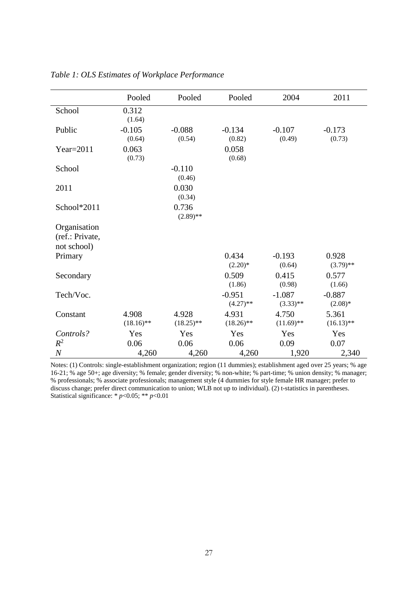|                                                | Pooled                | Pooled                | Pooled                  | 2004                    | 2011                  |
|------------------------------------------------|-----------------------|-----------------------|-------------------------|-------------------------|-----------------------|
| School                                         | 0.312<br>(1.64)       |                       |                         |                         |                       |
| Public                                         | $-0.105$<br>(0.64)    | $-0.088$<br>(0.54)    | $-0.134$<br>(0.82)      | $-0.107$<br>(0.49)      | $-0.173$<br>(0.73)    |
| Year= $2011$                                   | 0.063<br>(0.73)       |                       | 0.058<br>(0.68)         |                         |                       |
| School                                         |                       | $-0.110$<br>(0.46)    |                         |                         |                       |
| 2011                                           |                       | 0.030<br>(0.34)       |                         |                         |                       |
| School*2011                                    |                       | 0.736<br>$(2.89)$ **  |                         |                         |                       |
| Organisation<br>(ref.: Private,<br>not school) |                       |                       |                         |                         |                       |
| Primary                                        |                       |                       | 0.434<br>$(2.20)*$      | $-0.193$<br>(0.64)      | 0.928<br>$(3.79)$ **  |
| Secondary                                      |                       |                       | 0.509<br>(1.86)         | 0.415<br>(0.98)         | 0.577<br>(1.66)       |
| Tech/Voc.                                      |                       |                       | $-0.951$<br>$(4.27)$ ** | $-1.087$<br>$(3.33)$ ** | $-0.887$<br>$(2.08)*$ |
| Constant                                       | 4.908<br>$(18.16)$ ** | 4.928<br>$(18.25)$ ** | 4.931<br>$(18.26)$ **   | 4.750<br>$(11.69)$ **   | 5.361<br>$(16.13)$ ** |
| Controls?                                      | Yes                   | Yes                   | Yes                     | Yes                     | Yes                   |
| $R^2$                                          | 0.06                  | 0.06                  | 0.06                    | 0.09                    | 0.07                  |
| $\boldsymbol{N}$                               | 4,260                 | 4,260                 | 4,260                   | 1,920                   | 2,340                 |

*Table 1: OLS Estimates of Workplace Performance*

Notes: (1) Controls: single-establishment organization; region (11 dummies); establishment aged over 25 years; % age 16-21; % age 50+; age diversity; % female; gender diversity; % non-white; % part-time; % union density; % manager; % professionals; % associate professionals; management style (4 dummies for style female HR manager; prefer to discuss change; prefer direct communication to union; WLB not up to individual). (2) t-statistics in parentheses. Statistical significance: \* *p*<0.05; \*\* *p*<0.01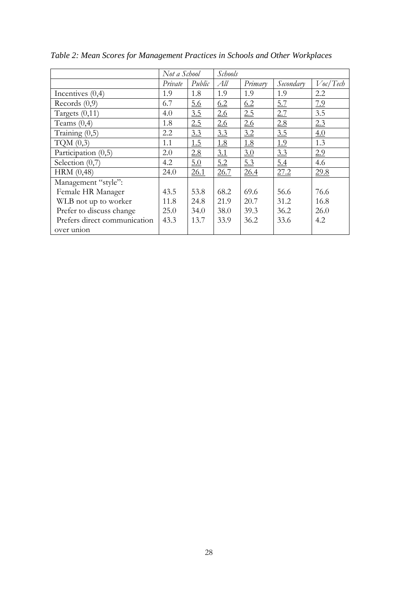|                              | Not a School |        | Schools |         |           |             |
|------------------------------|--------------|--------|---------|---------|-----------|-------------|
|                              | Private      | Public | All     | Primary | Secondary | $V$ oc/Tech |
| Incentives $(0,4)$           | 1.9          | 1.8    | 1.9     | 1.9     | 1.9       | 2.2         |
| Records $(0,9)$              | 6.7          | 5.6    | 6.2     | 6.2     | 5.7       | 7.9         |
| Targets $(0,11)$             | 4.0          | 3.5    | 2.6     | 2.5     | 2.7       | 3.5         |
| Teams $(0,4)$                | 1.8          | 2.5    | 2.6     | 2.6     | 2.8       | 2.3         |
| Training $(0,5)$             | 2.2          | 3.3    | 3.3     | 3.2     | 3.5       | 4.0         |
| TQM $(0,3)$                  | 1.1          | 1.5    | 1.8     | 1.8     | 1.9       | 1.3         |
| Participation (0,5)          | 2.0          | 2.8    | 3.1     | 3.0     | 3.3       | 2.9         |
| Selection $(0,7)$            | 4.2          | 5.0    | 5.2     | 5.3     | 5.4       | 4.6         |
| HRM(0,48)                    | 24.0         | 26.1   | 26.7    | 26.4    | 27.2      | 29.8        |
| Management "style":          |              |        |         |         |           |             |
| Female HR Manager            | 43.5         | 53.8   | 68.2    | 69.6    | 56.6      | 76.6        |
| WLB not up to worker         | 11.8         | 24.8   | 21.9    | 20.7    | 31.2      | 16.8        |
| Prefer to discuss change     | 25.0         | 34.0   | 38.0    | 39.3    | 36.2      | 26.0        |
| Prefers direct communication | 43.3         | 13.7   | 33.9    | 36.2    | 33.6      | 4.2         |
| over union                   |              |        |         |         |           |             |

*Table 2: Mean Scores for Management Practices in Schools and Other Workplaces*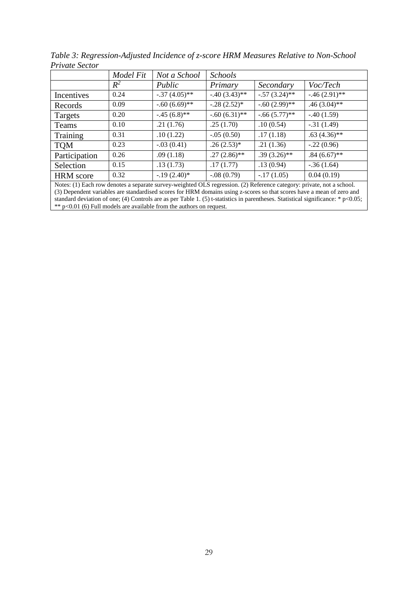|                                                                                                                       | Model Fit                                                                                                                                             | Not a School    | <b>Schools</b>  |                 |                 |  |  |  |  |
|-----------------------------------------------------------------------------------------------------------------------|-------------------------------------------------------------------------------------------------------------------------------------------------------|-----------------|-----------------|-----------------|-----------------|--|--|--|--|
|                                                                                                                       | $R^2$                                                                                                                                                 | Public          | Primary         | Secondary       | Voc/Tech        |  |  |  |  |
| Incentives                                                                                                            | 0.24                                                                                                                                                  | $-.37(4.05)$ ** | $-.40(3.43)$ ** | $-.57(3.24)$ ** | $-.46(2.91)$ ** |  |  |  |  |
| Records                                                                                                               | 0.09                                                                                                                                                  | $-.60(6.69)$ ** | $-.28(2.52)*$   | $-.60(2.99)$ ** | $.46(3.04)$ **  |  |  |  |  |
| Targets                                                                                                               | 0.20                                                                                                                                                  | $-.45(6.8)$ **  | $-.60(6.31)$ ** | $-.66(5.77)$ ** | $-.40(1.59)$    |  |  |  |  |
| Teams                                                                                                                 | 0.10                                                                                                                                                  | .21(1.76)       | .25(1.70)       | .10(0.54)       | $-.31(1.49)$    |  |  |  |  |
| Training                                                                                                              | 0.31                                                                                                                                                  | .10(1.22)       | $-.05(0.50)$    | .17(1.18)       | $.63(4.36)$ **  |  |  |  |  |
| <b>TQM</b>                                                                                                            | 0.23                                                                                                                                                  | $-.03(0.41)$    | $.26(2.53)*$    | .21(1.36)       | $-.22(0.96)$    |  |  |  |  |
| Participation                                                                                                         | 0.26                                                                                                                                                  | .09(1.18)       | $.27(2.86)$ **  | $.39(3.26)$ **  | $.84(6.67)$ **  |  |  |  |  |
| Selection                                                                                                             | 0.15                                                                                                                                                  | .13(1.73)       | .17(1.77)       | .13(0.94)       | $-.36(1.64)$    |  |  |  |  |
| <b>HRM</b> score                                                                                                      | 0.32                                                                                                                                                  | $-.19(2.40)*$   | $-.08(0.79)$    | $-17(1.05)$     | 0.04(0.19)      |  |  |  |  |
| Notes: (1) Each row denotes a separate survey-weighted OLS regression. (2) Reference category: private, not a school. |                                                                                                                                                       |                 |                 |                 |                 |  |  |  |  |
|                                                                                                                       | (3) Dependent variables are standardised scores for HRM domains using z-scores so that scores have a mean of zero and<br>a zna s massima sure s a ris |                 |                 |                 |                 |  |  |  |  |

*Table 3: Regression-Adjusted Incidence of z-score HRM Measures Relative to Non-School Private Sector*

standard deviation of one; (4) Controls are as per Table 1. (5) t-statistics in parentheses. Statistical significance: \* p<0.05; \*\* p<0.01 (6) Full models are available from the authors on request.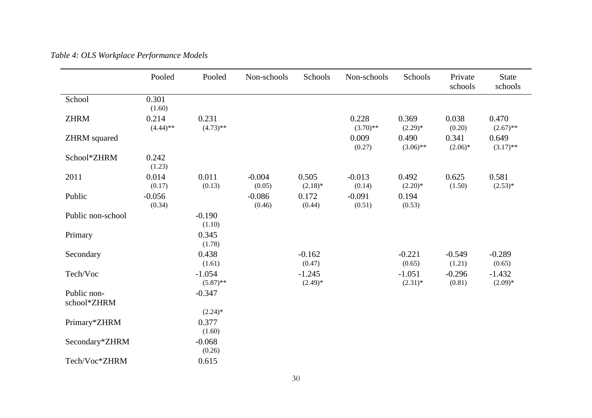|                            | Pooled               | Pooled                  | Non-schools        | Schools               | Non-schools          | Schools                | Private<br>schools | <b>State</b><br>schools |
|----------------------------|----------------------|-------------------------|--------------------|-----------------------|----------------------|------------------------|--------------------|-------------------------|
| School                     | 0.301<br>(1.60)      |                         |                    |                       |                      |                        |                    |                         |
| <b>ZHRM</b>                | 0.214<br>$(4.44)$ ** | 0.231<br>$(4.73)$ **    |                    |                       | 0.228<br>$(3.70)$ ** | 0.369<br>$(2.29)*$     | 0.038<br>(0.20)    | 0.470<br>$(2.67)$ **    |
| <b>ZHRM</b> squared        |                      |                         |                    |                       | 0.009<br>(0.27)      | 0.490<br>$(3.06)$ **   | 0.341<br>$(2.06)*$ | 0.649<br>$(3.17)$ **    |
| School*ZHRM                | 0.242<br>(1.23)      |                         |                    |                       |                      |                        |                    |                         |
| 2011                       | 0.014<br>(0.17)      | 0.011<br>(0.13)         | $-0.004$<br>(0.05) | 0.505<br>$(2.18)$ *   | $-0.013$<br>(0.14)   | 0.492<br>$(2.20)*$     | 0.625<br>(1.50)    | 0.581<br>$(2.53)*$      |
| Public                     | $-0.056$<br>(0.34)   |                         | $-0.086$<br>(0.46) | 0.172<br>(0.44)       | $-0.091$<br>(0.51)   | 0.194<br>(0.53)        |                    |                         |
| Public non-school          |                      | $-0.190$<br>(1.10)      |                    |                       |                      |                        |                    |                         |
| Primary                    |                      | 0.345<br>(1.78)         |                    |                       |                      |                        |                    |                         |
| Secondary                  |                      | 0.438<br>(1.61)         |                    | $-0.162$<br>(0.47)    |                      | $-0.221$<br>(0.65)     | $-0.549$<br>(1.21) | $-0.289$<br>(0.65)      |
| Tech/Voc                   |                      | $-1.054$<br>$(5.87)$ ** |                    | $-1.245$<br>$(2.49)*$ |                      | $-1.051$<br>$(2.31)^*$ | $-0.296$<br>(0.81) | $-1.432$<br>$(2.09)*$   |
| Public non-<br>school*ZHRM |                      | $-0.347$                |                    |                       |                      |                        |                    |                         |
|                            |                      | $(2.24)$ *              |                    |                       |                      |                        |                    |                         |
| Primary*ZHRM               |                      | 0.377<br>(1.60)         |                    |                       |                      |                        |                    |                         |
| Secondary*ZHRM             |                      | $-0.068$<br>(0.26)      |                    |                       |                      |                        |                    |                         |
| Tech/Voc*ZHRM              |                      | 0.615                   |                    |                       |                      |                        |                    |                         |

*Table 4: OLS Workplace Performance Models*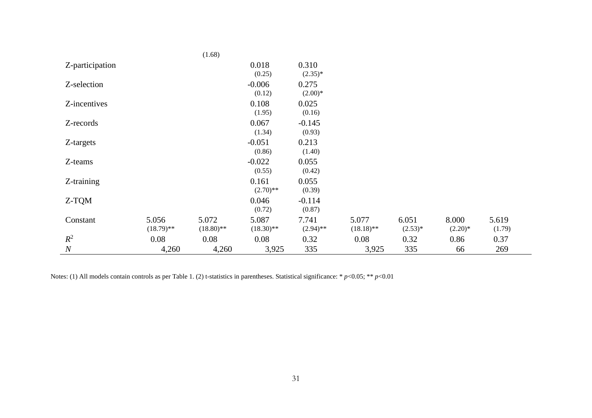|                  |                       | (1.68)                |                       |                      |                       |                    |                     |                 |
|------------------|-----------------------|-----------------------|-----------------------|----------------------|-----------------------|--------------------|---------------------|-----------------|
| Z-participation  |                       |                       | 0.018<br>(0.25)       | 0.310<br>$(2.35)^*$  |                       |                    |                     |                 |
| Z-selection      |                       |                       | $-0.006$<br>(0.12)    | 0.275<br>$(2.00)*$   |                       |                    |                     |                 |
| Z-incentives     |                       |                       | 0.108<br>(1.95)       | 0.025<br>(0.16)      |                       |                    |                     |                 |
| Z-records        |                       |                       | 0.067<br>(1.34)       | $-0.145$<br>(0.93)   |                       |                    |                     |                 |
| Z-targets        |                       |                       | $-0.051$<br>(0.86)    | 0.213<br>(1.40)      |                       |                    |                     |                 |
| Z-teams          |                       |                       | $-0.022$<br>(0.55)    | 0.055<br>(0.42)      |                       |                    |                     |                 |
| Z-training       |                       |                       | 0.161<br>$(2.70)$ **  | 0.055<br>(0.39)      |                       |                    |                     |                 |
| Z-TQM            |                       |                       | 0.046<br>(0.72)       | $-0.114$<br>(0.87)   |                       |                    |                     |                 |
| Constant         | 5.056<br>$(18.79)$ ** | 5.072<br>$(18.80)$ ** | 5.087<br>$(18.30)$ ** | 7.741<br>$(2.94)$ ** | 5.077<br>$(18.18)$ ** | 6.051<br>$(2.53)*$ | 8.000<br>$(2.20)^*$ | 5.619<br>(1.79) |
| $R^2$            | 0.08                  | 0.08                  | 0.08                  | 0.32                 | 0.08                  | 0.32               | 0.86                | 0.37            |
| $\boldsymbol{N}$ | 4,260                 | 4,260                 | 3,925                 | 335                  | 3,925                 | 335                | 66                  | 269             |

Notes: (1) All models contain controls as per Table 1. (2) t-statistics in parentheses. Statistical significance: \* *p*<0.05; \*\* *p*<0.01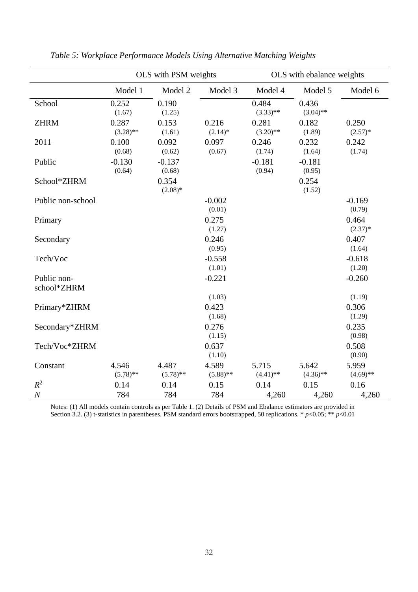|                            | OLS with PSM weights |                      |                      | OLS with ebalance weights |                      |                      |  |
|----------------------------|----------------------|----------------------|----------------------|---------------------------|----------------------|----------------------|--|
|                            | Model 1              | Model 2              | Model 3              | Model 4                   | Model 5              | Model 6              |  |
| School                     | 0.252<br>(1.67)      | 0.190<br>(1.25)      |                      | 0.484<br>$(3.33)$ **      | 0.436<br>$(3.04)$ ** |                      |  |
| <b>ZHRM</b>                | 0.287<br>$(3.28)$ ** | 0.153<br>(1.61)      | 0.216<br>$(2.14)$ *  | 0.281<br>$(3.20)$ **      | 0.182<br>(1.89)      | 0.250<br>$(2.57)^*$  |  |
| 2011                       | 0.100<br>(0.68)      | 0.092<br>(0.62)      | 0.097<br>(0.67)      | 0.246<br>(1.74)           | 0.232<br>(1.64)      | 0.242<br>(1.74)      |  |
| Public                     | $-0.130$<br>(0.64)   | $-0.137$<br>(0.68)   |                      | $-0.181$<br>(0.94)        | $-0.181$<br>(0.95)   |                      |  |
| School*ZHRM                |                      | 0.354<br>$(2.08)*$   |                      |                           | 0.254<br>(1.52)      |                      |  |
| Public non-school          |                      |                      | $-0.002$<br>(0.01)   |                           |                      | $-0.169$<br>(0.79)   |  |
| Primary                    |                      |                      | 0.275<br>(1.27)      |                           |                      | 0.464<br>$(2.37)^*$  |  |
| Secondary                  |                      |                      | 0.246<br>(0.95)      |                           |                      | 0.407<br>(1.64)      |  |
| Tech/Voc                   |                      |                      | $-0.558$<br>(1.01)   |                           |                      | $-0.618$<br>(1.20)   |  |
| Public non-<br>school*ZHRM |                      |                      | $-0.221$             |                           |                      | $-0.260$             |  |
|                            |                      |                      | (1.03)               |                           |                      | (1.19)               |  |
| Primary*ZHRM               |                      |                      | 0.423                |                           |                      | 0.306                |  |
|                            |                      |                      | (1.68)               |                           |                      | (1.29)               |  |
| Secondary*ZHRM             |                      |                      | 0.276                |                           |                      | 0.235                |  |
|                            |                      |                      | (1.15)               |                           |                      | (0.98)               |  |
| Tech/Voc*ZHRM              |                      |                      | 0.637<br>(1.10)      |                           |                      | 0.508<br>(0.90)      |  |
| Constant                   | 4.546<br>$(5.78)$ ** | 4.487<br>$(5.78)$ ** | 4.589<br>$(5.88)$ ** | 5.715<br>$(4.41)$ **      | 5.642<br>$(4.36)$ ** | 5.959<br>$(4.69)$ ** |  |
| $R^2$                      | 0.14                 | 0.14                 | 0.15                 | 0.14                      | 0.15                 | 0.16                 |  |
| $\boldsymbol{N}$           | 784                  | 784                  | 784                  | 4,260                     | 4,260                | 4,260                |  |

*Table 5: Workplace Performance Models Using Alternative Matching Weights*

Notes: (1) All models contain controls as per Table 1. (2) Details of PSM and Ebalance estimators are provided in Section 3.2. (3) t-statistics in parentheses. PSM standard errors bootstrapped, 50 replications. \* *p*<0.05; \*\* *p*<0.01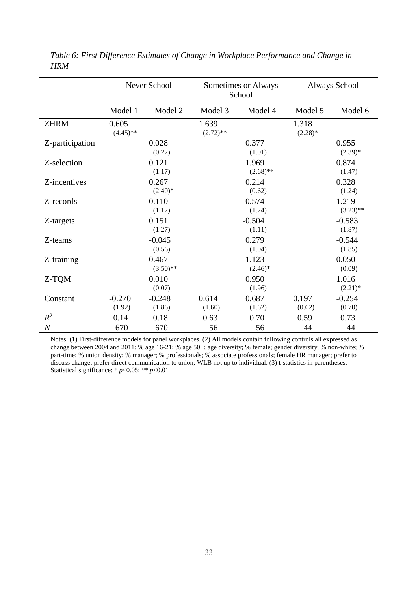|                  | Never School         |                      |                      | Sometimes or Always<br>School | <b>Always School</b> |                      |  |
|------------------|----------------------|----------------------|----------------------|-------------------------------|----------------------|----------------------|--|
|                  | Model 1              | Model 2              | Model 3              | Model 4                       | Model 5              | Model 6              |  |
| <b>ZHRM</b>      | 0.605<br>$(4.45)$ ** |                      | 1.639<br>$(2.72)$ ** |                               | 1.318<br>$(2.28)$ *  |                      |  |
| Z-participation  |                      | 0.028<br>(0.22)      |                      | 0.377<br>(1.01)               |                      | 0.955<br>$(2.39)*$   |  |
| Z-selection      |                      | 0.121<br>(1.17)      |                      | 1.969<br>$(2.68)$ **          |                      | 0.874<br>(1.47)      |  |
| Z-incentives     |                      | 0.267<br>$(2.40)$ *  |                      | 0.214<br>(0.62)               |                      | 0.328<br>(1.24)      |  |
| Z-records        |                      | 0.110<br>(1.12)      |                      | 0.574<br>(1.24)               |                      | 1.219<br>$(3.23)$ ** |  |
| Z-targets        |                      | 0.151<br>(1.27)      |                      | $-0.504$<br>(1.11)            |                      | $-0.583$<br>(1.87)   |  |
| Z-teams          |                      | $-0.045$<br>(0.56)   |                      | 0.279<br>(1.04)               |                      | $-0.544$<br>(1.85)   |  |
| Z-training       |                      | 0.467<br>$(3.50)$ ** |                      | 1.123<br>$(2.46)^*$           |                      | 0.050<br>(0.09)      |  |
| Z-TQM            |                      | 0.010<br>(0.07)      |                      | 0.950<br>(1.96)               |                      | 1.016<br>$(2.21)$ *  |  |
| Constant         | $-0.270$<br>(1.92)   | $-0.248$<br>(1.86)   | 0.614<br>(1.60)      | 0.687<br>(1.62)               | 0.197<br>(0.62)      | $-0.254$<br>(0.70)   |  |
| $R^2$            | 0.14                 | 0.18                 | 0.63                 | 0.70                          | 0.59                 | 0.73                 |  |
| $\boldsymbol{N}$ | 670                  | 670                  | 56                   | 56                            | 44                   | 44                   |  |

*Table 6: First Difference Estimates of Change in Workplace Performance and Change in HRM*

Notes: (1) First-difference models for panel workplaces. (2) All models contain following controls all expressed as change between 2004 and 2011: % age 16-21; % age 50+; age diversity; % female; gender diversity; % non-white; % part-time; % union density; % manager; % professionals; % associate professionals; female HR manager; prefer to discuss change; prefer direct communication to union; WLB not up to individual. (3) t-statistics in parentheses. Statistical significance: \* *p*<0.05; \*\* *p*<0.01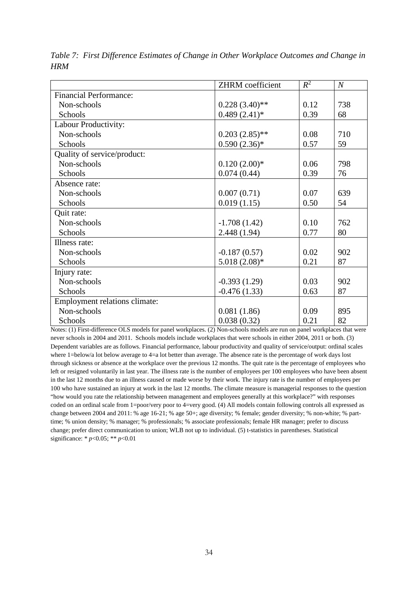|                               | ZHRM coefficient | $R^2$ | $\boldsymbol{N}$ |
|-------------------------------|------------------|-------|------------------|
| <b>Financial Performance:</b> |                  |       |                  |
| Non-schools                   | $0.228(3.40)$ ** | 0.12  | 738              |
| Schools                       | $0.489(2.41)$ *  | 0.39  | 68               |
| Labour Productivity:          |                  |       |                  |
| Non-schools                   | $0.203(2.85)$ ** | 0.08  | 710              |
| Schools                       | $0.590(2.36)*$   | 0.57  | 59               |
| Quality of service/product:   |                  |       |                  |
| Non-schools                   | $0.120(2.00)*$   | 0.06  | 798              |
| Schools                       | 0.074(0.44)      | 0.39  | 76               |
| Absence rate:                 |                  |       |                  |
| Non-schools                   | 0.007(0.71)      | 0.07  | 639              |
| Schools                       | 0.019(1.15)      | 0.50  | 54               |
| Quit rate:                    |                  |       |                  |
| Non-schools                   | $-1.708(1.42)$   | 0.10  | 762              |
| Schools                       | 2.448 (1.94)     | 0.77  | 80               |
| Illness rate:                 |                  |       |                  |
| Non-schools                   | $-0.187(0.57)$   | 0.02  | 902              |
| Schools                       | $5.018(2.08)*$   | 0.21  | 87               |
| Injury rate:                  |                  |       |                  |
| Non-schools                   | $-0.393(1.29)$   | 0.03  | 902              |
| Schools                       | $-0.476(1.33)$   | 0.63  | 87               |
| Employment relations climate: |                  |       |                  |
| Non-schools                   | 0.081(1.86)      | 0.09  | 895              |
| Schools                       | 0.038(0.32)      | 0.21  | 82               |

*Table 7: First Difference Estimates of Change in Other Workplace Outcomes and Change in HRM*

Notes: (1) First-difference OLS models for panel workplaces. (2) Non-schools models are run on panel workplaces that were never schools in 2004 and 2011. Schools models include workplaces that were schools in either 2004, 2011 or both. (3) Dependent variables are as follows. Financial performance, labour productivity and quality of service/output: ordinal scales where 1=below/a lot below average to 4=a lot better than average. The absence rate is the percentage of work days lost through sickness or absence at the workplace over the previous 12 months. The quit rate is the percentage of employees who left or resigned voluntarily in last year. The illness rate is the number of employees per 100 employees who have been absent in the last 12 months due to an illness caused or made worse by their work. The injury rate is the number of employees per 100 who have sustained an injury at work in the last 12 months. The climate measure is managerial responses to the question "how would you rate the relationship between management and employees generally at this workplace?" with responses coded on an ordinal scale from 1=poor/very poor to 4=very good. (4) All models contain following controls all expressed as change between 2004 and 2011: % age 16-21; % age 50+; age diversity; % female; gender diversity; % non-white; % parttime; % union density; % manager; % professionals; % associate professionals; female HR manager; prefer to discuss change; prefer direct communication to union; WLB not up to individual. (5) t-statistics in parentheses. Statistical significance: \* *p*<0.05; \*\* *p*<0.01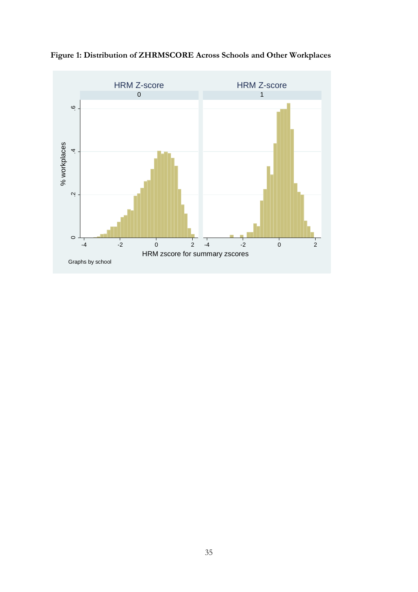

**Figure 1: Distribution of ZHRMSCORE Across Schools and Other Workplaces**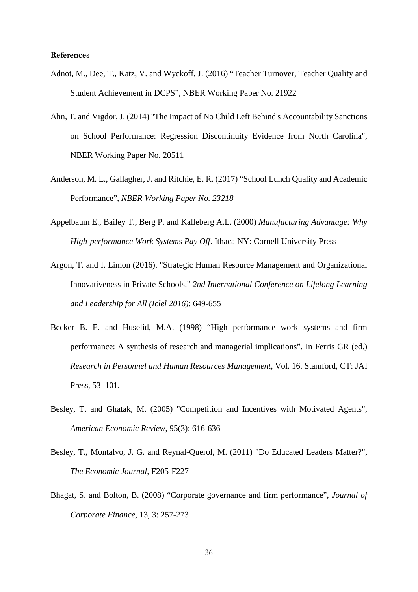#### **References**

- Adnot, M., Dee, T., Katz, V. and Wyckoff, J. (2016) "Teacher Turnover, Teacher Quality and Student Achievement in DCPS", NBER Working Paper No. 21922
- Ahn, T. and Vigdor, J. (2014) "The Impact of No Child Left Behind's Accountability Sanctions on School Performance: Regression Discontinuity Evidence from North Carolina", NBER Working Paper No. 20511
- Anderson, M. L., Gallagher, J. and Ritchie, E. R. (2017) "School Lunch Quality and Academic Performance", *NBER Working Paper No. 23218*
- Appelbaum E., Bailey T., Berg P. and Kalleberg A.L. (2000) *Manufacturing Advantage: Why High-performance Work Systems Pay Off*. Ithaca NY: Cornell University Press
- Argon, T. and I. Limon (2016). "Strategic Human Resource Management and Organizational Innovativeness in Private Schools." *2nd International Conference on Lifelong Learning and Leadership for All (Iclel 2016)*: 649-655
- Becker B. E. and Huselid, M.A. (1998) "High performance work systems and firm performance: A synthesis of research and managerial implications". In Ferris GR (ed.) *Research in Personnel and Human Resources Management*, Vol. 16. Stamford, CT: JAI Press, 53–101.
- Besley, T. and Ghatak, M. (2005) "Competition and Incentives with Motivated Agents", *American Economic Review*, 95(3): 616-636
- Besley, T., Montalvo, J. G. and Reynal-Querol, M. (2011) "Do Educated Leaders Matter?", *The Economic Journal*, F205-F227
- Bhagat, S. and Bolton, B. (2008) "Corporate governance and firm performance", *Journal of Corporate Finance*, 13, 3: 257-273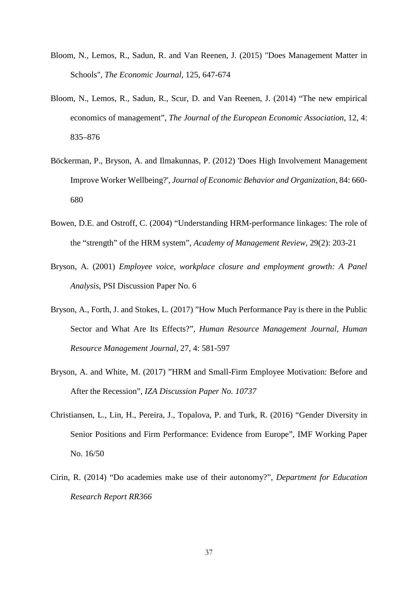- Bloom, N., Lemos, R., Sadun, R. and Van Reenen, J. (2015) "Does Management Matter in Schools", *The Economic Journal*, 125, 647-674
- Bloom, N., Lemos, R., Sadun, R., Scur, D. and Van Reenen, J. (2014) "The new empirical economics of management", *The Journal of the European Economic Association*, 12, 4: 835–876
- Böckerman, P., Bryson, A. and Ilmakunnas, P. (2012) 'Does High Involvement Management Improve Worker Wellbeing?', *Journal of Economic Behavior and Organization*, 84: 660- 680
- Bowen, D.E. and Ostroff, C. (2004) "Understanding HRM-performance linkages: The role of the "strength" of the HRM system", *Academy of Management Review,* 29(2): 203-21
- Bryson, A. (2001) *Employee voice, workplace closure and employment growth: A Panel Analysis*, PSI Discussion Paper No. 6
- Bryson, A., Forth, J. and Stokes, L. (2017) "How Much Performance Pay is there in the Public Sector and What Are Its Effects?", *Human Resource Management Journal*, *Human Resource Management Journal*, 27, 4: 581-597
- Bryson, A. and White, M. (2017) "HRM and Small-Firm Employee Motivation: Before and After the Recession", *IZA Discussion Paper No. 10737*
- Christiansen, L., Lin, H., Pereira, J., Topalova, P. and Turk, R. (2016) "Gender Diversity in Senior Positions and Firm Performance: Evidence from Europe", IMF Working Paper No. 16/50
- Cirin, R. (2014) "Do academies make use of their autonomy?", *Department for Education Research Report RR366*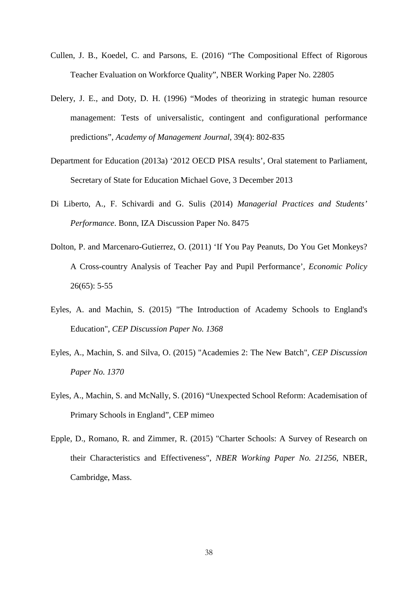- Cullen, J. B., Koedel, C. and Parsons, E. (2016) "The Compositional Effect of Rigorous Teacher Evaluation on Workforce Quality", NBER Working Paper No. 22805
- Delery, J. E., and Doty, D. H. (1996) "Modes of theorizing in strategic human resource management: Tests of universalistic, contingent and configurational performance predictions", *Academy of Management Journal*, 39(4): 802-835
- Department for Education (2013a) '2012 OECD PISA results', Oral statement to Parliament, Secretary of State for Education Michael Gove, 3 December 2013
- Di Liberto, A., F. Schivardi and G. Sulis (2014) *Managerial Practices and Students' Performance*. Bonn, IZA Discussion Paper No. 8475
- Dolton, P. and Marcenaro-Gutierrez, O. (2011) 'If You Pay Peanuts, Do You Get Monkeys? A Cross-country Analysis of Teacher Pay and Pupil Performance', *Economic Policy* 26(65): 5-55
- Eyles, A. and Machin, S. (2015) "The Introduction of Academy Schools to England's Education", *CEP Discussion Paper No. 1368*
- Eyles, A., Machin, S. and Silva, O. (2015) "Academies 2: The New Batch", *CEP Discussion Paper No. 1370*
- Eyles, A., Machin, S. and McNally, S. (2016) "Unexpected School Reform: Academisation of Primary Schools in England", CEP mimeo
- Epple, D., Romano, R. and Zimmer, R. (2015) "Charter Schools: A Survey of Research on their Characteristics and Effectiveness", *NBER Working Paper No. 21256*, NBER, Cambridge, Mass.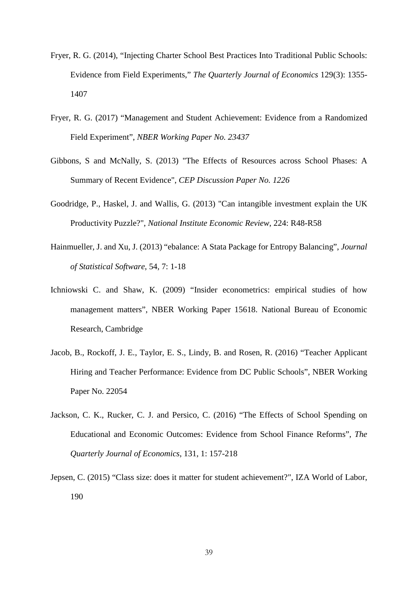- Fryer, R. G. (2014), "Injecting Charter School Best Practices Into Traditional Public Schools: Evidence from Field Experiments," *The Quarterly Journal of Economics* 129(3): 1355- 1407
- Fryer, R. G. (2017) "Management and Student Achievement: Evidence from a Randomized Field Experiment", *NBER Working Paper No. 23437*
- Gibbons, S and McNally, S. (2013) "The Effects of Resources across School Phases: A Summary of Recent Evidence", *CEP Discussion Paper No. 1226*
- Goodridge, P., Haskel, J. and Wallis, G. (2013) "Can intangible investment explain the UK Productivity Puzzle?", *National Institute Economic Review*, 224: R48-R58
- Hainmueller, J. and Xu, J. (2013) "ebalance: A Stata Package for Entropy Balancing", *Journal of Statistical Software*, 54, 7: 1-18
- Ichniowski C. and Shaw, K. (2009) "Insider econometrics: empirical studies of how management matters", NBER Working Paper 15618. National Bureau of Economic Research, Cambridge
- Jacob, B., Rockoff, J. E., Taylor, E. S., Lindy, B. and Rosen, R. (2016) "Teacher Applicant Hiring and Teacher Performance: Evidence from DC Public Schools", NBER Working Paper No. 22054
- Jackson, C. K., Rucker, C. J. and Persico, C. (2016) "The Effects of School Spending on Educational and Economic Outcomes: Evidence from School Finance Reforms", *The Quarterly Journal of Economics*, 131, 1: 157-218
- Jepsen, C. (2015) "Class size: does it matter for student achievement?", IZA World of Labor, 190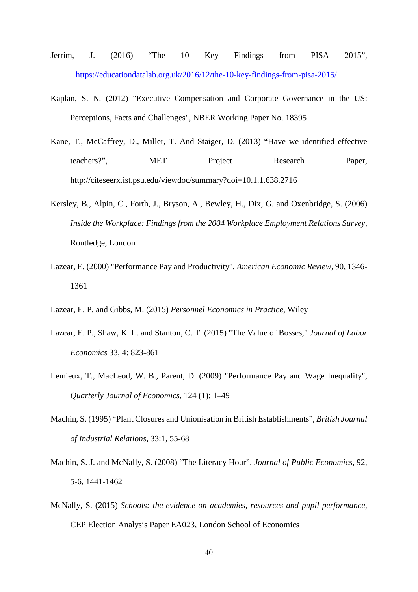- Jerrim, J. (2016) "The 10 Key Findings from PISA 2015", <https://educationdatalab.org.uk/2016/12/the-10-key-findings-from-pisa-2015/>
- Kaplan, S. N. (2012) "Executive Compensation and Corporate Governance in the US: Perceptions, Facts and Challenges", NBER Working Paper No. 18395
- Kane, T., McCaffrey, D., Miller, T. And Staiger, D. (2013) "Have we identified effective teachers?", MET Project Research Paper, http://citeseerx.ist.psu.edu/viewdoc/summary?doi=10.1.1.638.2716
- Kersley, B., Alpin, C., Forth, J., Bryson, A., Bewley, H., Dix, G. and Oxenbridge, S. (2006) *Inside the Workplace: Findings from the 2004 Workplace Employment Relations Survey*, Routledge, London
- Lazear, E. (2000) "Performance Pay and Productivity", *American Economic Review*, 90, 1346- 1361
- Lazear, E. P. and Gibbs, M. (2015) *Personnel Economics in Practice*, Wiley
- Lazear, E. P., Shaw, K. L. and Stanton, C. T. (2015) "The Value of Bosses," *Journal of Labor Economics* 33, 4: 823-861
- Lemieux, T., MacLeod, W. B., Parent, D. (2009) "Performance Pay and Wage Inequality", *Quarterly Journal of Economics*, 124 (1): 1–49
- Machin, S. (1995) "Plant Closures and Unionisation in British Establishments", *British Journal of Industrial Relations*, 33:1, 55-68
- Machin, S. J. and McNally, S. (2008) "The Literacy Hour", *Journal of Public Economics*, 92, 5-6, 1441-1462
- McNally, S. (2015) *Schools: the evidence on academies, resources and pupil performance*, CEP Election Analysis Paper EA023, London School of Economics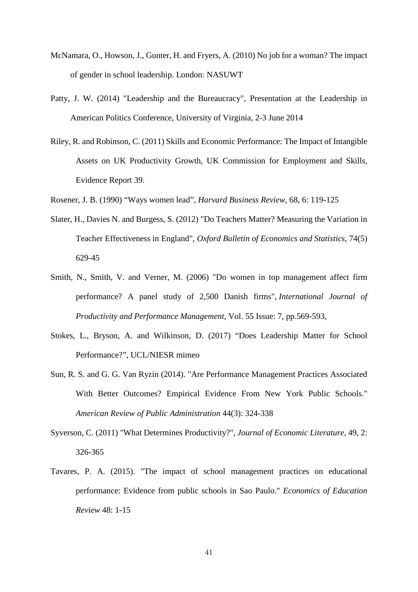- McNamara, O., Howson, J., Gunter, H. and Fryers, A. (2010) No job for a woman? The impact of gender in school leadership. London: NASUWT
- Patty, J. W. (2014) "Leadership and the Bureaucracy", Presentation at the Leadership in American Politics Conference, University of Virginia, 2-3 June 2014
- Riley, R. and Robinson, C. (2011) Skills and Economic Performance: The Impact of Intangible Assets on UK Productivity Growth, UK Commission for Employment and Skills, Evidence Report 39.
- Rosener, J. B. (1990) "Ways women lead", *Harvard Business Review*, 68, 6: 119-125
- Slater, H., Davies N. and Burgess, S. (2012) "Do Teachers Matter? Measuring the Variation in Teacher Effectiveness in England", *Oxford Bulletin of Economics and Statistics*, 74(5) 629-45
- Smith, N., Smith, V. and Verner, M. (2006) "Do women in top management affect firm performance? A panel study of 2,500 Danish firms", *International Journal of Productivity and Performance Management*, Vol. 55 Issue: 7, pp.569-593,
- Stokes, L., Bryson, A. and Wilkinson, D. (2017) "Does Leadership Matter for School Performance?", UCL/NIESR mimeo
- Sun, R. S. and G. G. Van Ryzin (2014). "Are Performance Management Practices Associated With Better Outcomes? Empirical Evidence From New York Public Schools." *American Review of Public Administration* 44(3): 324-338
- Syverson, C. (2011) "What Determines Productivity?", *Journal of Economic Literature*, 49, 2: 326-365
- Tavares, P. A. (2015). "The impact of school management practices on educational performance: Evidence from public schools in Sao Paulo." *Economics of Education Review* 48: 1-15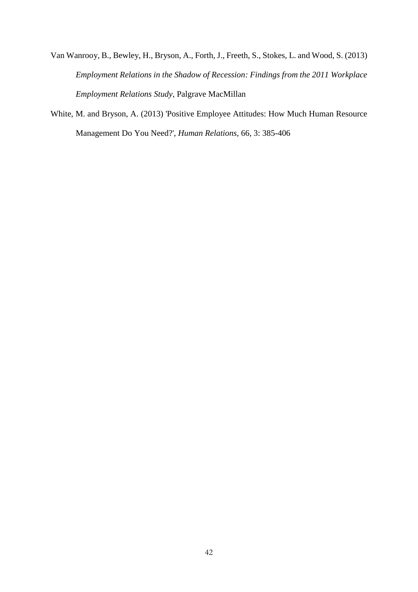Van Wanrooy, B., Bewley, H., Bryson, A., Forth, J., Freeth, S., Stokes, L. and Wood, S. (2013) *Employment Relations in the Shadow of Recession: Findings from the 2011 Workplace Employment Relations Study*, Palgrave MacMillan

White, M. and Bryson, A. (2013) 'Positive Employee Attitudes: How Much Human Resource Management Do You Need?', *Human Relations*, 66, 3: 385-406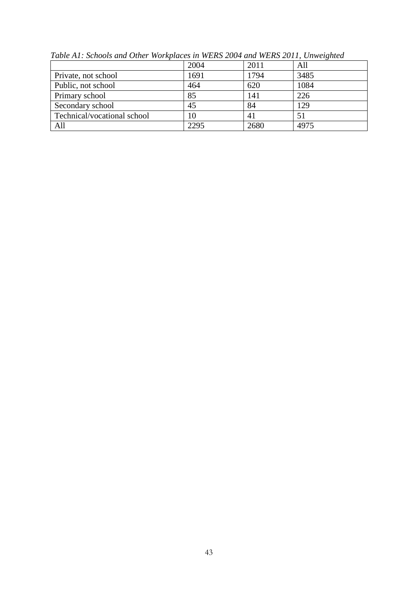|                             | 2004 | 2011 | All  |
|-----------------------------|------|------|------|
| Private, not school         | 1691 | 1794 | 3485 |
| Public, not school          | 464  | 620  | 1084 |
| Primary school              | 85   | 141  | 226  |
| Secondary school            | 45   | 84   | 129  |
| Technical/vocational school | 10   | 41   |      |
| All                         | 2295 | 2680 | 4975 |

*Table A1: Schools and Other Workplaces in WERS 2004 and WERS 2011, Unweighted*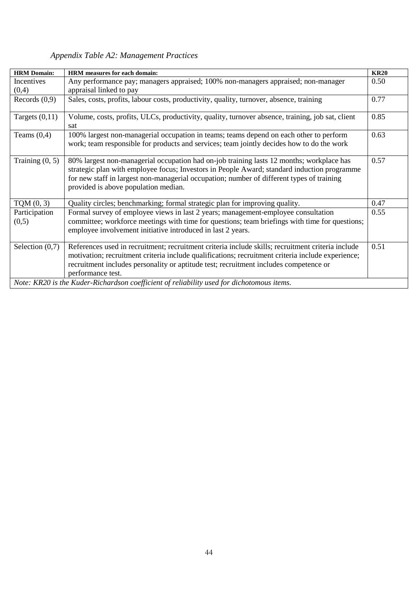### *Appendix Table A2: Management Practices*

| <b>HRM Domain:</b> | <b>HRM</b> measures for each domain:                                                                                                                                                                                                                                                                                         | <b>KR20</b> |
|--------------------|------------------------------------------------------------------------------------------------------------------------------------------------------------------------------------------------------------------------------------------------------------------------------------------------------------------------------|-------------|
| Incentives         | Any performance pay; managers appraised; 100% non-managers appraised; non-manager                                                                                                                                                                                                                                            | 0.50        |
| (0,4)              | appraisal linked to pay                                                                                                                                                                                                                                                                                                      |             |
| Records $(0,9)$    | Sales, costs, profits, labour costs, productivity, quality, turnover, absence, training                                                                                                                                                                                                                                      | 0.77        |
| Targets $(0,11)$   | Volume, costs, profits, ULCs, productivity, quality, turnover absence, training, job sat, client<br>sat                                                                                                                                                                                                                      | 0.85        |
| Teams $(0,4)$      | 100% largest non-managerial occupation in teams; teams depend on each other to perform<br>work; team responsible for products and services; team jointly decides how to do the work                                                                                                                                          | 0.63        |
| Training $(0, 5)$  | 80% largest non-managerial occupation had on-job training lasts 12 months; workplace has<br>strategic plan with employee focus; Investors in People Award; standard induction programme<br>for new staff in largest non-managerial occupation; number of different types of training<br>provided is above population median. | 0.57        |
| TQM(0, 3)          | Quality circles; benchmarking; formal strategic plan for improving quality.                                                                                                                                                                                                                                                  | 0.47        |
| Participation      | Formal survey of employee views in last 2 years; management-employee consultation                                                                                                                                                                                                                                            | 0.55        |
| (0,5)              | committee; workforce meetings with time for questions; team briefings with time for questions;<br>employee involvement initiative introduced in last 2 years.                                                                                                                                                                |             |
| Selection $(0,7)$  | References used in recruitment; recruitment criteria include skills; recruitment criteria include<br>motivation; recruitment criteria include qualifications; recruitment criteria include experience;<br>recruitment includes personality or aptitude test; recruitment includes competence or<br>performance test.         | 0.51        |
|                    | Note: KR20 is the Kuder-Richardson coefficient of reliability used for dichotomous items.                                                                                                                                                                                                                                    |             |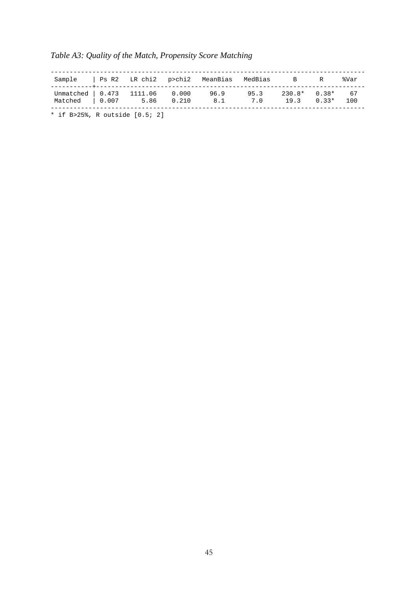| Sample   Ps R2 LR chi2 p>chi2 MeanBias MedBias B |  |            |             |             |                                  | R | %Var      |
|--------------------------------------------------|--|------------|-------------|-------------|----------------------------------|---|-----------|
| Unmatched   0.473 1111.06 0.000<br>Matched 0.007 |  | 5.86 0.210 | 96.9<br>8.1 | 95.3<br>7.0 | $230.8*$ 0.38*<br>$19.3$ $0.33*$ |   | 67<br>100 |

### *Table A3: Quality of the Match, Propensity Score Matching*

\* if B>25%, R outside [0.5; 2]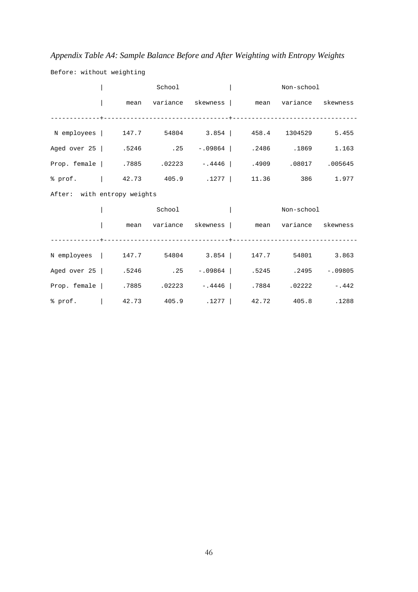### *Appendix Table A4: Sample Balance Before and After Weighting with Entropy Weights*

|                                                                      |  | School |  |  |  | Non-school |                                                 |  |
|----------------------------------------------------------------------|--|--------|--|--|--|------------|-------------------------------------------------|--|
|                                                                      |  |        |  |  |  |            | mean variance skewness   mean variance skewness |  |
|                                                                      |  |        |  |  |  |            |                                                 |  |
| N employees   147.7 54804 3.854   458.4 1304529 5.455                |  |        |  |  |  |            |                                                 |  |
| Aged over 25   .5246 .25 -.09864   .2486 .1869 1.163                 |  |        |  |  |  |            |                                                 |  |
| 005645. 1909 08017 Prop. female   .7885 .02223 -.4446   .4909 .08017 |  |        |  |  |  |            |                                                 |  |
|                                                                      |  |        |  |  |  |            |                                                 |  |
| After: with entropy weights                                          |  |        |  |  |  |            |                                                 |  |
|                                                                      |  | School |  |  |  | Non-school |                                                 |  |
|                                                                      |  |        |  |  |  |            | mean variance skewness   mean variance skewness |  |
|                                                                      |  |        |  |  |  |            |                                                 |  |
| N employees   147.7 54804 3.854   147.7 54801 3.863                  |  |        |  |  |  |            |                                                 |  |
| Aged over 25   .5246 .25 -.09864   .5245 .2495 -.09805               |  |        |  |  |  |            |                                                 |  |
| Prop. female   .7885 .02223 -.4446   .7884 .02222 -.442              |  |        |  |  |  |            |                                                 |  |
|                                                                      |  |        |  |  |  |            |                                                 |  |

Before: without weighting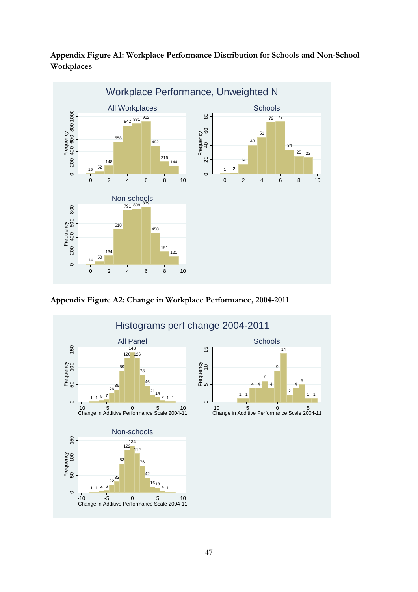**Appendix Figure A1: Workplace Performance Distribution for Schools and Non-School Workplaces**



**Appendix Figure A2: Change in Workplace Performance, 2004-2011**